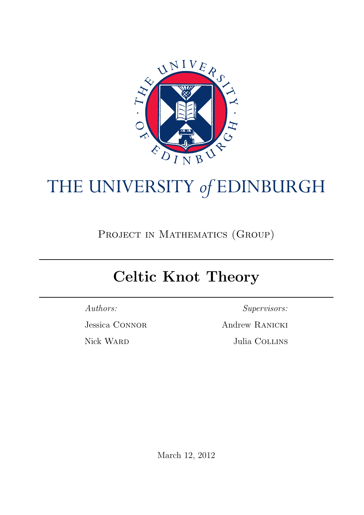

# THE UNIVERSITY *of* EDINBURGH

PROJECT IN MATHEMATICS (GROUP)

# Celtic Knot Theory

Authors:

Jessica Connor

Nick Ward

Supervisors:

Andrew Ranicki Julia COLLINS

March 12, 2012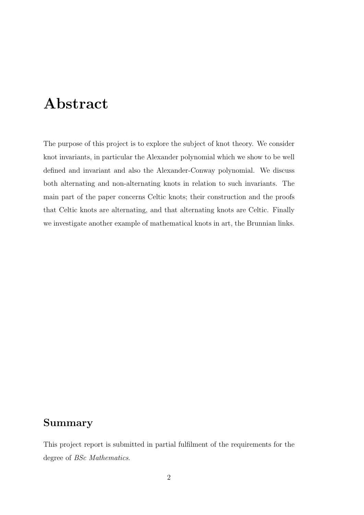## Abstract

The purpose of this project is to explore the subject of knot theory. We consider knot invariants, in particular the Alexander polynomial which we show to be well defined and invariant and also the Alexander-Conway polynomial. We discuss both alternating and non-alternating knots in relation to such invariants. The main part of the paper concerns Celtic knots; their construction and the proofs that Celtic knots are alternating, and that alternating knots are Celtic. Finally we investigate another example of mathematical knots in art, the Brunnian links.

### <span id="page-1-0"></span>Summary

This project report is submitted in partial fulfilment of the requirements for the degree of BSc Mathematics.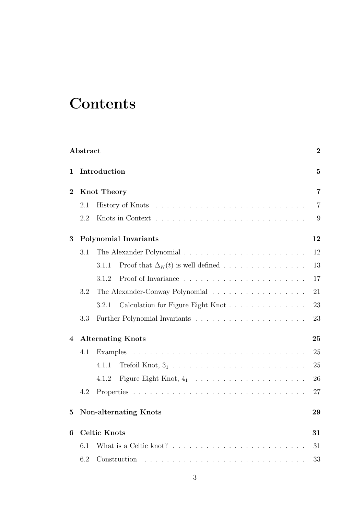# **Contents**

|                | Abstract                     |                                                                                  | $\bf{2}$ |  |  |  |  |  |  |  |  |
|----------------|------------------------------|----------------------------------------------------------------------------------|----------|--|--|--|--|--|--|--|--|
| 1              | Introduction                 |                                                                                  |          |  |  |  |  |  |  |  |  |
| $\overline{2}$ | <b>Knot Theory</b>           |                                                                                  |          |  |  |  |  |  |  |  |  |
|                | 2.1                          |                                                                                  |          |  |  |  |  |  |  |  |  |
|                | 2.2                          |                                                                                  | 9        |  |  |  |  |  |  |  |  |
| 3              |                              | <b>Polynomial Invariants</b>                                                     | 12       |  |  |  |  |  |  |  |  |
|                | 3.1                          |                                                                                  | 12       |  |  |  |  |  |  |  |  |
|                |                              | Proof that $\Delta_K(t)$ is well defined<br>3.1.1                                | 13       |  |  |  |  |  |  |  |  |
|                |                              | 3.1.2                                                                            | 17       |  |  |  |  |  |  |  |  |
|                | 3.2                          | The Alexander-Conway Polynomial                                                  | 21       |  |  |  |  |  |  |  |  |
|                |                              | Calculation for Figure Eight Knot<br>3.2.1                                       | 23       |  |  |  |  |  |  |  |  |
|                | 3.3                          |                                                                                  | 23       |  |  |  |  |  |  |  |  |
| 4              |                              | <b>Alternating Knots</b>                                                         | $\rm 25$ |  |  |  |  |  |  |  |  |
|                | 4.1                          |                                                                                  | 25       |  |  |  |  |  |  |  |  |
|                |                              | 4.1.1                                                                            | 25       |  |  |  |  |  |  |  |  |
|                |                              | 4.1.2                                                                            | 26       |  |  |  |  |  |  |  |  |
|                | 4.2                          |                                                                                  | 27       |  |  |  |  |  |  |  |  |
| 5              | <b>Non-alternating Knots</b> |                                                                                  |          |  |  |  |  |  |  |  |  |
| 6              |                              | <b>Celtic Knots</b>                                                              | 31       |  |  |  |  |  |  |  |  |
|                | 6.1                          | What is a Celtic knot? $\ldots \ldots \ldots \ldots \ldots \ldots \ldots \ldots$ | 31       |  |  |  |  |  |  |  |  |
|                | 6.2<br>Construction          |                                                                                  |          |  |  |  |  |  |  |  |  |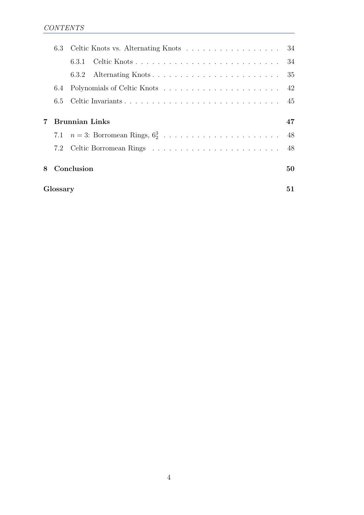|   |                       | 6.3.1 |  |  |  |  |  |  |  |  |  |  |  |
|---|-----------------------|-------|--|--|--|--|--|--|--|--|--|--|--|
|   |                       |       |  |  |  |  |  |  |  |  |  |  |  |
|   | 6.4                   |       |  |  |  |  |  |  |  |  |  |  |  |
|   |                       |       |  |  |  |  |  |  |  |  |  |  |  |
|   | <b>Brunnian Links</b> |       |  |  |  |  |  |  |  |  |  |  |  |
|   |                       |       |  |  |  |  |  |  |  |  |  |  |  |
|   |                       |       |  |  |  |  |  |  |  |  |  |  |  |
| 8 | Conclusion            |       |  |  |  |  |  |  |  |  |  |  |  |
|   | Glossary              |       |  |  |  |  |  |  |  |  |  |  |  |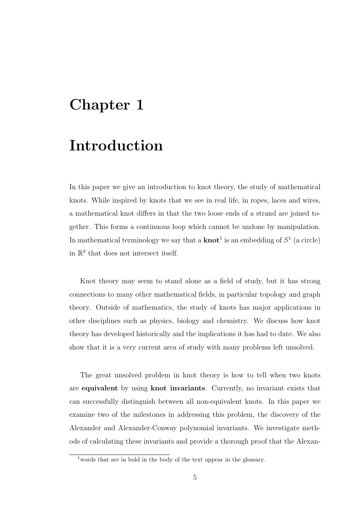# <span id="page-4-0"></span>Chapter 1

### Introduction

In this paper we give an introduction to knot theory, the study of mathematical knots. While inspired by knots that we see in real life, in ropes, laces and wires, a mathematical knot differs in that the two loose ends of a strand are joined together. This forms a continuous loop which cannot be undone by manipulation. In mathematical terminology we say that a **[knot](#page-50-1)**<sup>[1](#page-4-1)</sup> is an embedding of  $S^1$  (a circle) in  $\mathbb{R}^3$  that does not intersect itself.

Knot theory may seem to stand alone as a field of study, but it has strong connections to many other mathematical fields, in particular topology and graph theory. Outside of mathematics, the study of knots has major applications in other disciplines such as physics, biology and chemistry. We discuss how knot theory has developed historically and the implications it has had to date. We also show that it is a very current area of study with many problems left unsolved.

The great unsolved problem in knot theory is how to tell when two knots are [equivalent](#page-51-0) by using [knot invariants](#page-51-1). Currently, no invariant exists that can successfully distinguish between all non-equivalent knots. In this paper we examine two of the milestones in addressing this problem, the discovery of the Alexander and Alexander-Conway polynomial invariants. We investigate methods of calculating these invariants and provide a thorough proof that the Alexan-

<span id="page-4-1"></span><sup>1</sup>words that are in bold in the body of the text appear in the glossary.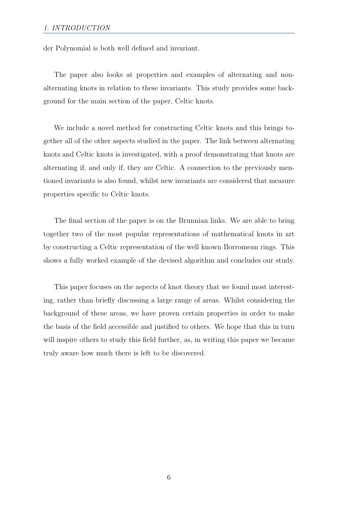der Polynomial is both well defined and invariant.

The paper also looks at properties and examples of alternating and nonalternating knots in relation to these invariants. This study provides some background for the main section of the paper, Celtic knots.

We include a novel method for constructing Celtic knots and this brings together all of the other aspects studied in the paper. The link between alternating knots and Celtic knots is investigated, with a proof demonstrating that knots are alternating if, and only if, they are Celtic. A connection to the previously mentioned invariants is also found, whilst new invariants are considered that measure properties specific to Celtic knots.

The final section of the paper is on the Brunnian links. We are able to bring together two of the most popular representations of mathematical knots in art by constructing a Celtic representation of the well known Borromean rings. This shows a fully worked example of the devised algorithm and concludes our study.

This paper focuses on the aspects of knot theory that we found most interesting, rather than briefly discussing a large range of areas. Whilst considering the background of these areas, we have proven certain properties in order to make the basis of the field accessible and justified to others. We hope that this in turn will inspire others to study this field further, as, in writing this paper we became truly aware how much there is left to be discovered.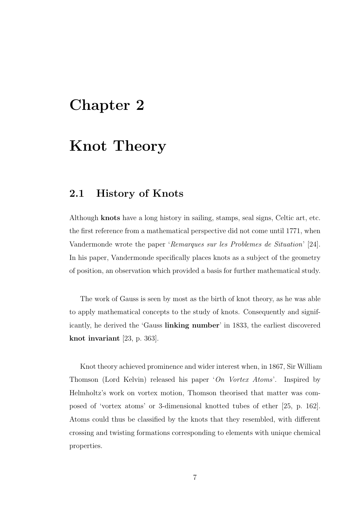### <span id="page-6-0"></span>Chapter 2

# Knot Theory

### <span id="page-6-1"></span>2.1 History of Knots

Although [knots](#page-50-1) have a long history in sailing, stamps, seal signs, Celtic art, etc. the first reference from a mathematical perspective did not come until 1771, when Vandermonde wrote the paper 'Remarques sur les Problemes de Situation' [\[24\]](#page-56-0). In his paper, Vandermonde specifically places [knots](#page-50-1) as a subject of the geometry of position, an observation which provided a basis for further mathematical study.

The work of Gauss is seen by most as the birth of [knot](#page-50-1) theory, as he was able to apply mathematical concepts to the study of [knots.](#page-50-1) Consequently and significantly, he derived the 'Gauss [linking number](#page-51-2)' in 1833, the earliest discovered [knot invariant](#page-51-1) [\[23,](#page-55-0) p. 363].

[Knot](#page-50-1) theory achieved prominence and wider interest when, in 1867, Sir William Thomson (Lord Kelvin) released his paper 'On Vortex Atoms'. Inspired by Helmholtz's work on vortex motion, Thomson theorised that matter was composed of 'vortex atoms' or 3-dimensional knotted tubes of ether [\[25,](#page-56-1) p. 162]. Atoms could thus be classified by the [knots](#page-50-1) that they resembled, with different crossing and twisting formations corresponding to elements with unique chemical properties.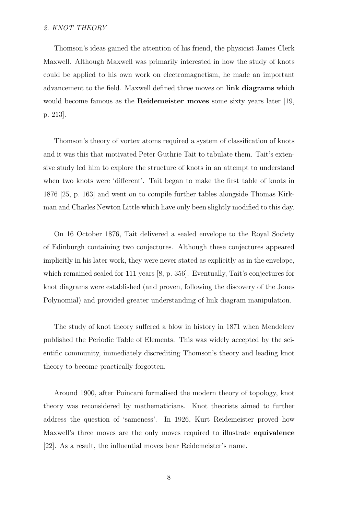Thomson's ideas gained the attention of his friend, the physicist James Clerk Maxwell. Although Maxwell was primarily interested in how the study of [knots](#page-50-1) could be applied to his own work on electromagnetism, he made an important advancement to the field. Maxwell defined three moves on [link diagrams](#page-51-3) which would become famous as the [Reidemeister moves](#page-52-0) some sixty years later [\[19,](#page-55-1) p. 213].

Thomson's theory of vortex atoms required a system of classification of [knots](#page-50-1) and it was this that motivated Peter Guthrie Tait to tabulate them. Tait's extensive study led him to explore the structure of [knots](#page-50-1) in an attempt to understand when two [knots](#page-50-1) were 'different'. Tait began to make the first table of [knots](#page-50-1) in 1876 [\[25,](#page-56-1) p. 163] and went on to compile further tables alongside Thomas Kirkman and Charles Newton Little which have only been slightly modified to this day.

On 16 October 1876, Tait delivered a sealed envelope to the Royal Society of Edinburgh containing two conjectures. Although these conjectures appeared implicitly in his later work, they were never stated as explicitly as in the envelope, which remained sealed for 111 years [\[8,](#page-54-0) p. 356]. Eventually, Tait's conjectures for [knot diagrams](#page-51-3) were established (and proven, following the discovery of the Jones Polynomial) and provided greater understanding of link diagram manipulation.

The study of [knot](#page-50-1) theory suffered a blow in history in 1871 when Mendeleev published the Periodic Table of Elements. This was widely accepted by the scientific community, immediately discrediting Thomson's theory and leading knot theory to become practically forgotten.

Around 1900, after Poincaré formalised the modern theory of topology, [knot](#page-50-1) theory was reconsidered by mathematicians. [Knot](#page-50-1) theorists aimed to further address the question of 'sameness'. In 1926, Kurt Reidemeister proved how Maxwell's three [moves](#page-52-0) are the only moves required to illustrate [equivalence](#page-51-0) [\[22\]](#page-55-2). As a result, the influential moves bear Reidemeister's name.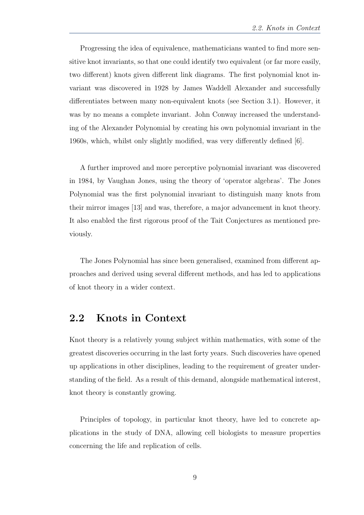Progressing the idea of equivalence, mathematicians wanted to find more sensitive [knot invariants,](#page-51-1) so that one could identify two equivalent (or far more easily, two different) [knots](#page-50-1) given different [link diagrams.](#page-51-3) The first polynomial [knot in](#page-51-1)[variant](#page-51-1) was discovered in 1928 by James Waddell Alexander and successfully differentiates between many non-equivalent [knots](#page-50-1) (see Section [3.1\)](#page-11-1). However, it was by no means a complete invariant. John Conway increased the understanding of the Alexander Polynomial by creating his own polynomial invariant in the 1960s, which, whilst only slightly modified, was very differently defined [\[6\]](#page-54-1).

A further improved and more perceptive polynomial invariant was discovered in 1984, by Vaughan Jones, using the theory of 'operator algebras'. The Jones Polynomial was the first polynomial invariant to distinguish many [knots](#page-50-1) from their mirror images [\[13\]](#page-55-3) and was, therefore, a major advancement in [knot](#page-50-1) theory. It also enabled the first rigorous proof of the Tait Conjectures as mentioned previously.

The Jones Polynomial has since been generalised, examined from different approaches and derived using several different methods, and has led to applications of [knot](#page-50-1) theory in a wider context.

#### <span id="page-8-0"></span>2.2 Knots in Context

[Knot](#page-50-1) theory is a relatively young subject within mathematics, with some of the greatest discoveries occurring in the last forty years. Such discoveries have opened up applications in other disciplines, leading to the requirement of greater understanding of the field. As a result of this demand, alongside mathematical interest, knot theory is constantly growing.

Principles of topology, in particular knot theory, have led to concrete applications in the study of DNA, allowing cell biologists to measure properties concerning the life and replication of cells.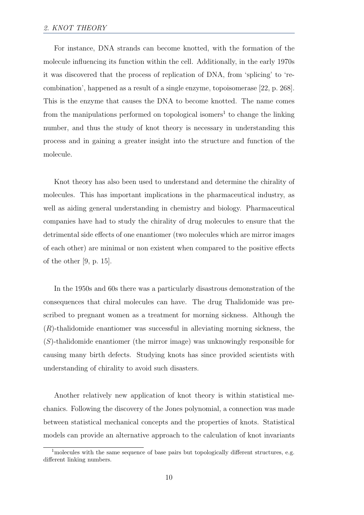For instance, DNA strands can become knotted, with the formation of the molecule influencing its function within the cell. Additionally, in the early 1970s it was discovered that the process of replication of DNA, from 'splicing' to 'recombination', happened as a result of a single enzyme, topoisomerase [\[22,](#page-55-2) p. 268]. This is the enzyme that causes the DNA to become knotted. The name comes from the manipulations performed on topological isomers<sup>[1](#page-9-0)</sup> to change the [linking](#page-51-2) [number,](#page-51-2) and thus the study of knot theory is necessary in understanding this process and in gaining a greater insight into the structure and function of the molecule.

Knot theory has also been used to understand and determine the [chirality](#page-50-2) of molecules. This has important implications in the pharmaceutical industry, as well as aiding general understanding in chemistry and biology. Pharmaceutical companies have had to study the [chirality](#page-50-2) of drug molecules to ensure that the detrimental side effects of one enantiomer (two molecules which are mirror images of each other) are minimal or non existent when compared to the positive effects of the other [\[9,](#page-54-2) p. 15].

In the 1950s and 60s there was a particularly disastrous demonstration of the consequences that chiral molecules can have. The drug Thalidomide was prescribed to pregnant women as a treatment for morning sickness. Although the  $(R)$ -thalidomide enantiomer was successful in alleviating morning sickness, the (S)-thalidomide enantiomer (the mirror image) was unknowingly responsible for causing many birth defects. Studying knots has since provided scientists with understanding of chirality to avoid such disasters.

Another relatively new application of knot theory is within statistical mechanics. Following the discovery of the Jones polynomial, a connection was made between statistical mechanical concepts and the properties of knots. Statistical models can provide an alternative approach to the calculation of knot invariants

<span id="page-9-0"></span><sup>&</sup>lt;sup>1</sup> molecules with the same sequence of base pairs but topologically different structures, e.g. different linking numbers.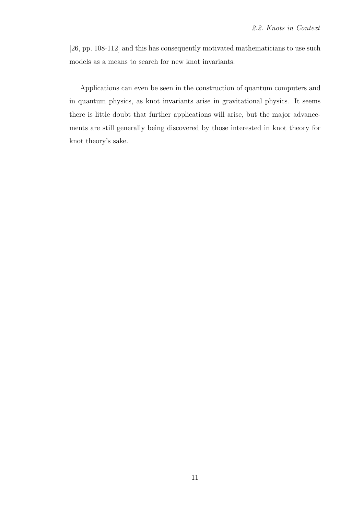[\[26,](#page-56-2) pp. 108-112] and this has consequently motivated mathematicians to use such models as a means to search for new knot invariants.

Applications can even be seen in the construction of quantum computers and in quantum physics, as knot invariants arise in gravitational physics. It seems there is little doubt that further applications will arise, but the major advancements are still generally being discovered by those interested in knot theory for knot theory's sake.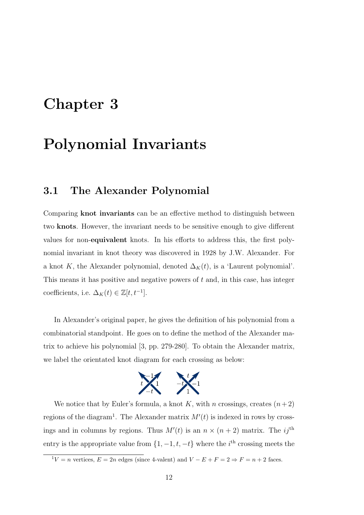# <span id="page-11-0"></span>Chapter 3

# Polynomial Invariants

### <span id="page-11-1"></span>3.1 The Alexander Polynomial

Comparing [knot invariants](#page-51-1) can be an effective method to distinguish between two [knots](#page-50-1). However, the invariant needs to be sensitive enough to give different values for non-[equivalent](#page-51-0) knots. In his efforts to address this, the first polynomial invariant in knot theory was discovered in 1928 by J.W. Alexander. For a knot K, the Alexander polynomial, denoted  $\Delta_K(t)$ , is a 'Laurent polynomial'. This means it has positive and negative powers of  $t$  and, in this case, has integer coefficients, i.e.  $\Delta_K(t) \in \mathbb{Z}[t, t^{-1}].$ 

In Alexander's original paper, he gives the definition of his polynomial from a combinatorial standpoint. He goes on to define the method of the Alexander matrix to achieve his polynomial [\[3,](#page-54-3) pp. 279-280]. To obtain the Alexander matrix, we label the orientated knot diagram for each crossing as below:



We notice that by Euler's formula, a knot K, with n crossings, creates  $(n+2)$ regions of the diagram<sup>[1](#page-11-2)</sup>. The Alexander matrix  $M'(t)$  is indexed in rows by crossings and in columns by regions. Thus  $M'(t)$  is an  $n \times (n+2)$  matrix. The ij<sup>th</sup> entry is the appropriate value from  $\{1, -1, t, -t\}$  where the i<sup>th</sup> crossing meets the

<span id="page-11-2"></span> $1V = n$  vertices,  $E = 2n$  edges (since 4-valent) and  $V - E + F = 2 \Rightarrow F = n + 2$  faces.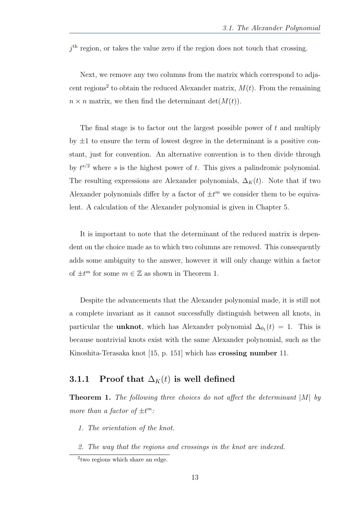$j<sup>th</sup>$  region, or takes the value zero if the region does not touch that crossing.

Next, we remove any two columns from the matrix which correspond to adja-cent regions<sup>[2](#page-12-1)</sup> to obtain the reduced Alexander matrix,  $M(t)$ . From the remaining  $n \times n$  matrix, we then find the determinant det $(M(t))$ .

The final stage is to factor out the largest possible power of  $t$  and multiply by  $\pm 1$  to ensure the term of lowest degree in the determinant is a positive constant, just for convention. An alternative convention is to then divide through by  $t^{s/2}$  where s is the highest power of t. This gives a palindromic polynomial. The resulting expressions are Alexander polynomials,  $\Delta_K(t)$ . Note that if two Alexander polynomials differ by a factor of  $\pm t^m$  we consider them to be equivalent. A calculation of the Alexander polynomial is given in Chapter [5.](#page-28-1)

It is important to note that the determinant of the reduced matrix is dependent on the choice made as to which two columns are removed. This consequently adds some ambiguity to the answer, however it will only change within a factor of  $\pm t^m$  for some  $m \in \mathbb{Z}$  as shown in Theorem [1.](#page-12-2)

Despite the advancements that the Alexander polynomial made, it is still not a complete invariant as it cannot successfully distinguish between all knots, in particular the **[unknot](#page-53-0)**, which has Alexander polynomial  $\Delta_{0}$ <sub>1</sub> $(t) = 1$ . This is because nontrivial knots exist with the same Alexander polynomial, such as the Kinoshita-Terasaka knot [\[15,](#page-55-4) p. 151] which has [crossing number](#page-50-3) 11.

#### <span id="page-12-0"></span>3.1.1 Proof that  $\Delta_K(t)$  is well defined

<span id="page-12-2"></span>**Theorem 1.** The following three choices do not affect the determinant  $|M|$  by more than a factor of  $\pm t^m$ :

- 1. The orientation of the knot.
- 2. The way that the regions and crossings in the knot are indexed.

<span id="page-12-1"></span><sup>2</sup> two regions which share an edge.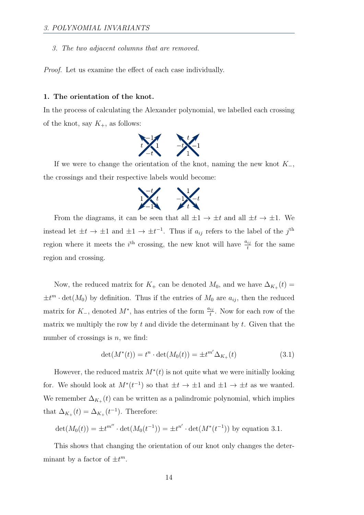3. The two adjacent columns that are removed.

Proof. Let us examine the effect of each case individually.

#### 1. The orientation of the knot.

In the process of calculating the Alexander polynomial, we labelled each crossing of the knot, say  $K_{+}$ , as follows:



If we were to change the orientation of the knot, naming the new knot  $K_-,$ the crossings and their respective labels would become:



From the diagrams, it can be seen that all  $\pm 1 \rightarrow \pm t$  and all  $\pm t \rightarrow \pm 1$ . We instead let  $\pm t \to \pm 1$  and  $\pm 1 \to \pm t^{-1}$ . Thus if  $a_{ij}$  refers to the label of the j<sup>th</sup> region where it meets the  $i<sup>th</sup>$  crossing, the new knot will have  $\frac{a_{ij}}{t}$  for the same region and crossing.

Now, the reduced matrix for  $K_+$  can be denoted  $M_0$ , and we have  $\Delta_{K_+}(t)$  $\pm t^m \cdot \det(M_0)$  by definition. Thus if the entries of  $M_0$  are  $a_{ij}$ , then the reduced matrix for  $K_$ , denoted  $M^*$ , has entries of the form  $\frac{a_{ij}}{t}$ . Now for each row of the matrix we multiply the row by  $t$  and divide the determinant by  $t$ . Given that the number of crossings is  $n$ , we find:

<span id="page-13-0"></span>
$$
\det(M^*(t)) = t^n \cdot \det(M_0(t)) = \pm t^{m'} \Delta_{K_+}(t)
$$
\n(3.1)

However, the reduced matrix  $M^*(t)$  is not quite what we were initially looking for. We should look at  $M^*(t^{-1})$  so that  $\pm t \to \pm 1$  and  $\pm 1 \to \pm t$  as we wanted. We remember  $\Delta_{K_+}(t)$  can be written as a palindromic polynomial, which implies that  $\Delta_{K_+}(t) = \Delta_{K_+}(t^{-1})$ . Therefore:

$$
\det(M_0(t)) = \pm t^{m''} \cdot \det(M_0(t^{-1})) = \pm t^{n'} \cdot \det(M^*(t^{-1}))
$$
 by equation 3.1.

This shows that changing the orientation of our knot only changes the determinant by a factor of  $\pm t^m$ .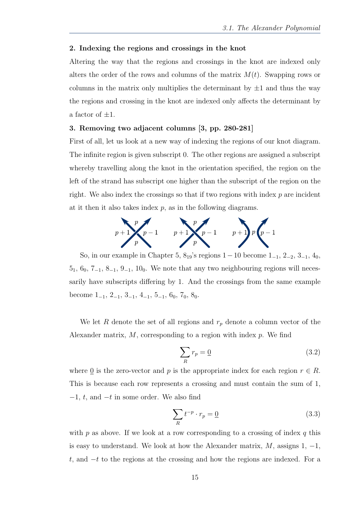#### 2. Indexing the regions and crossings in the knot

Altering the way that the regions and crossings in the knot are indexed only alters the order of the rows and columns of the matrix  $M(t)$ . Swapping rows or columns in the matrix only multiplies the determinant by  $\pm 1$  and thus the way the regions and crossing in the knot are indexed only affects the determinant by a factor of  $\pm 1$ .

#### 3. Removing two adjacent columns [\[3,](#page-54-3) pp. 280-281]

First of all, let us look at a new way of indexing the regions of our knot diagram. The infinite region is given subscript 0. The other regions are assigned a subscript whereby travelling along the knot in the orientation specified, the region on the left of the strand has subscript one higher than the subscript of the region on the right. We also index the crossings so that if two regions with index  $p$  are incident at it then it also takes index  $p$ , as in the following diagrams.



So, in our example in Chapter [5,](#page-28-1)  $8_{19}$ 's regions  $1-10$  become  $1_{-1}$ ,  $2_{-2}$ ,  $3_{-1}$ ,  $4_0$ ,  $5_1, 6_0, 7_{-1}, 8_{-1}, 9_{-1}, 10_0$ . We note that any two neighbouring regions will necessarily have subscripts differing by 1. And the crossings from the same example become  $1_{-1}$ ,  $2_{-1}$ ,  $3_{-1}$ ,  $4_{-1}$ ,  $5_{-1}$ ,  $6_0$ ,  $7_0$ ,  $8_0$ .

We let R denote the set of all regions and  $r_p$  denote a column vector of the Alexander matrix,  $M$ , corresponding to a region with index  $p$ . We find

<span id="page-14-0"></span>
$$
\sum_{R} r_p = \underline{0} \tag{3.2}
$$

where 0 is the zero-vector and p is the appropriate index for each region  $r \in R$ . This is because each row represents a crossing and must contain the sum of 1,  $-1$ , t, and  $-t$  in some order. We also find

<span id="page-14-1"></span>
$$
\sum_{R} t^{-p} \cdot r_p = \underline{0} \tag{3.3}
$$

with  $p$  as above. If we look at a row corresponding to a crossing of index  $q$  this is easy to understand. We look at how the Alexander matrix,  $M$ , assigns 1, -1, t, and  $-t$  to the regions at the crossing and how the regions are indexed. For a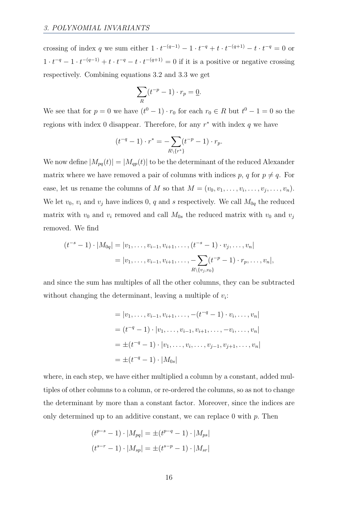crossing of index q we sum either  $1 \cdot t^{-(q-1)} - 1 \cdot t^{-q} + t \cdot t^{-(q+1)} - t \cdot t^{-q} = 0$  or  $1 \cdot t^{-q} - 1 \cdot t^{-(q-1)} + t \cdot t^{-q} - t \cdot t^{-(q+1)} = 0$  if it is a positive or negative crossing respectively. Combining equations [3.2](#page-14-0) and [3.3](#page-14-1) we get

$$
\sum_{R} (t^{-p} - 1) \cdot r_p = \underline{0}.
$$

We see that for  $p = 0$  we have  $(t^0 - 1) \cdot r_0$  for each  $r_0 \in R$  but  $t^0 - 1 = 0$  so the regions with index 0 disappear. Therefore, for any  $r^*$  with index q we have

$$
(t^{-q} - 1) \cdot r^* = -\sum_{R \setminus \{r^*\}} (t^{-p} - 1) \cdot r_p.
$$

We now define  $|M_{pq}(t)| = |M_{qp}(t)|$  to be the determinant of the reduced Alexander matrix where we have removed a pair of columns with indices p, q for  $p \neq q$ . For ease, let us rename the columns of M so that  $M = (v_0, v_1, \ldots, v_i, \ldots, v_j, \ldots, v_n)$ . We let  $v_0$ ,  $v_i$  and  $v_j$  have indices 0, q and s respectively. We call  $M_{0q}$  the reduced matrix with  $v_0$  and  $v_i$  removed and call  $M_{0s}$  the reduced matrix with  $v_0$  and  $v_j$ removed. We find

$$
(t^{-s}-1) \cdot |M_{0q}| = |v_1, \dots, v_{i-1}, v_{i+1}, \dots, (t^{-s}-1) \cdot v_j, \dots, v_n|
$$
  
= |v\_1, \dots, v\_{i-1}, v\_{i+1}, \dots, -\sum\_{R \setminus \{v\_j, v\_0\}} (t^{-p}-1) \cdot r\_p, \dots, v\_n|,

and since the sum has multiples of all the other columns, they can be subtracted without changing the determinant, leaving a multiple of  $v_i$ :

$$
= |v_1, \dots, v_{i-1}, v_{i+1}, \dots, -(t^{-q} - 1) \cdot v_i, \dots, v_n|
$$
  

$$
= (t^{-q} - 1) \cdot |v_1, \dots, v_{i-1}, v_{i+1}, \dots, -v_i, \dots, v_n|
$$
  

$$
= \pm (t^{-q} - 1) \cdot |v_1, \dots, v_i, \dots, v_{j-1}, v_{j+1}, \dots, v_n|
$$
  

$$
= \pm (t^{-q} - 1) \cdot |M_{0s}|
$$

where, in each step, we have either multiplied a column by a constant, added multiples of other columns to a column, or re-ordered the columns, so as not to change the determinant by more than a constant factor. Moreover, since the indices are only determined up to an additive constant, we can replace 0 with  $p$ . Then

$$
(t^{p-s} - 1) \cdot |M_{pq}| = \pm (t^{p-q} - 1) \cdot |M_{ps}|
$$

$$
(t^{s-r} - 1) \cdot |M_{sp}| = \pm (t^{s-p} - 1) \cdot |M_{sr}|
$$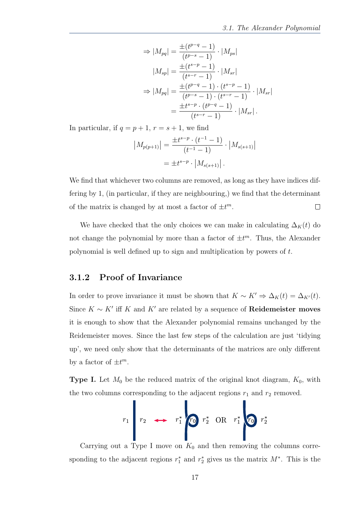$$
\Rightarrow |M_{pq}| = \frac{\pm (t^{p-q} - 1)}{(t^{p-s} - 1)} \cdot |M_{ps}|
$$

$$
|M_{sp}| = \frac{\pm (t^{s-p} - 1)}{(t^{s-r} - 1)} \cdot |M_{sr}|
$$

$$
\Rightarrow |M_{pq}| = \frac{\pm (t^{p-q} - 1) \cdot (t^{s-p} - 1)}{(t^{p-s} - 1) \cdot (t^{s-r} - 1)} \cdot |M_{sr}|
$$

$$
= \frac{\pm t^{s-p} \cdot (t^{p-q} - 1)}{(t^{s-r} - 1)} \cdot |M_{sr}|.
$$

In particular, if  $q = p + 1$ ,  $r = s + 1$ , we find

$$
|M_{p(p+1)}| = \frac{\pm t^{s-p} \cdot (t^{-1} - 1)}{(t^{-1} - 1)} \cdot |M_{s(s+1)}|
$$
  
=  $\pm t^{s-p} \cdot |M_{s(s+1)}|$ .

We find that whichever two columns are removed, as long as they have indices differing by 1, (in particular, if they are neighbouring,) we find that the determinant of the matrix is changed by at most a factor of  $\pm t^m$ .  $\Box$ 

We have checked that the only choices we can make in calculating  $\Delta_K(t)$  do not change the polynomial by more than a factor of  $\pm t^m$ . Thus, the Alexander polynomial is well defined up to sign and multiplication by powers of t.

#### <span id="page-16-0"></span>3.1.2 Proof of Invariance

In order to prove invariance it must be shown that  $K \sim K' \Rightarrow \Delta_K(t) = \Delta_{K'}(t)$ . Since  $K \sim K'$  iff K and K' are related by a sequence of **[Reidemeister moves](#page-52-0)** it is enough to show that the Alexander polynomial remains unchanged by the Reidemeister moves. Since the last few steps of the calculation are just 'tidying up', we need only show that the determinants of the matrices are only different by a factor of  $\pm t^m$ .

**Type I.** Let  $M_0$  be the reduced matrix of the original knot diagram,  $K_0$ , with the two columns corresponding to the adjacent regions  $r_1$  and  $r_2$  removed.

$$
r_1
$$
  $r_2$   $\longrightarrow$   $r_1^*$   $\begin{array}{ccc} r_2^* & \text{OR} & r_1^* \\ \text{OR} & r_2^* & \text{OR} & r_2^* \end{array}$ 

Carrying out a Type I move on  $K_0$  and then removing the columns corresponding to the adjacent regions  $r_1^*$  and  $r_2^*$  gives us the matrix  $M^*$ . This is the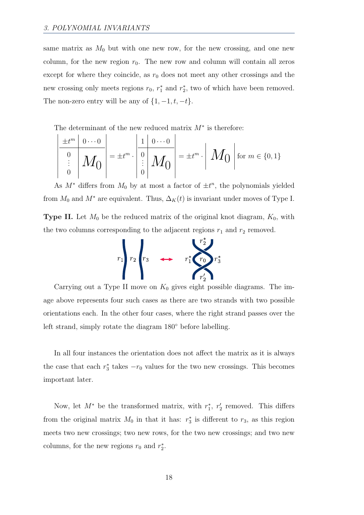same matrix as  $M_0$  but with one new row, for the new crossing, and one new column, for the new region  $r_0$ . The new row and column will contain all zeros except for where they coincide, as  $r_0$  does not meet any other crossings and the new crossing only meets regions  $r_0$ ,  $r_1^*$  and  $r_2^*$ , two of which have been removed. The non-zero entry will be any of  $\{1, -1, t, -t\}$ .

The determinant of the new reduced matrix  $M^*$  is therefore:

$$
\begin{array}{|l|l|}\n\hline\n\frac{\pm t^m & 0 \cdots 0}{\frac{0}{m}} \\
\hline\n\vdots & M_0\n\end{array}\n=\pm t^m \cdot\n\begin{array}{|l|}\n\frac{1}{m} & 0 \cdots 0 \\
\hline\n\vdots & M_0\n\end{array}\n=\pm t^m \cdot\n\begin{array}{|l|}\nM_0 & \text{for } m \in \{0, 1\}\n\end{array}
$$

As  $M^*$  differs from  $M_0$  by at most a factor of  $\pm t^n$ , the polynomials yielded from  $M_0$  and  $M^*$  are equivalent. Thus,  $\Delta_K(t)$  is invariant under moves of Type I.

**Type II.** Let  $M_0$  be the reduced matrix of the original knot diagram,  $K_0$ , with the two columns corresponding to the adjacent regions  $r_1$  and  $r_2$  removed.



Carrying out a Type II move on  $K_0$  gives eight possible diagrams. The image above represents four such cases as there are two strands with two possible orientations each. In the other four cases, where the right strand passes over the left strand, simply rotate the diagram 180◦ before labelling.

In all four instances the orientation does not affect the matrix as it is always the case that each  $r_3^*$  takes  $-r_0$  values for the two new crossings. This becomes important later.

Now, let  $M^*$  be the transformed matrix, with  $r_1^*, r_2'$  removed. This differs from the original matrix  $M_0$  in that it has:  $r_3^*$  is different to  $r_3$ , as this region meets two new crossings; two new rows, for the two new crossings; and two new columns, for the new regions  $r_0$  and  $r_2^*$ .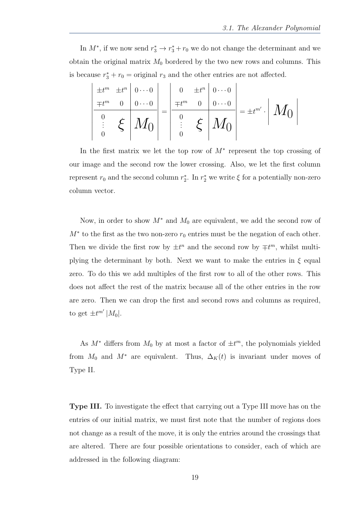In  $M^*$ , if we now send  $r_3^* \to r_3^* + r_0$  we do not change the determinant and we obtain the original matrix  $M_0$  bordered by the two new rows and columns. This is because  $r_3^* + r_0 =$  original  $r_3$  and the other entries are not affected.

 ±t <sup>m</sup> ±t <sup>n</sup> 0 · · · 0 ∓t <sup>m</sup> 0 0 · · · 0 0 ξ M0 . . . 0 = 0 ±t <sup>n</sup> 0 · · · 0 ∓t <sup>m</sup> 0 0 · · · 0 0 ξ M0 . . . 0 = ±t m<sup>0</sup> · M0 

In the first matrix we let the top row of  $M^*$  represent the top crossing of our image and the second row the lower crossing. Also, we let the first column represent  $r_0$  and the second column  $r_2^*$ . In  $r_2^*$  we write  $\xi$  for a potentially non-zero column vector.

Now, in order to show  $M^*$  and  $M_0$  are equivalent, we add the second row of  $M^*$  to the first as the two non-zero  $r_0$  entries must be the negation of each other. Then we divide the first row by  $\pm t^n$  and the second row by  $\mp t^m$ , whilst multiplying the determinant by both. Next we want to make the entries in  $\xi$  equal zero. To do this we add multiples of the first row to all of the other rows. This does not affect the rest of the matrix because all of the other entries in the row are zero. Then we can drop the first and second rows and columns as required, to get  $\pm t^{m'}$  | $M_0$ |.

As  $M^*$  differs from  $M_0$  by at most a factor of  $\pm t^m$ , the polynomials yielded from  $M_0$  and  $M^*$  are equivalent. Thus,  $\Delta_K(t)$  is invariant under moves of Type II.

Type III. To investigate the effect that carrying out a Type III move has on the entries of our initial matrix, we must first note that the number of regions does not change as a result of the move, it is only the entries around the crossings that are altered. There are four possible orientations to consider, each of which are addressed in the following diagram: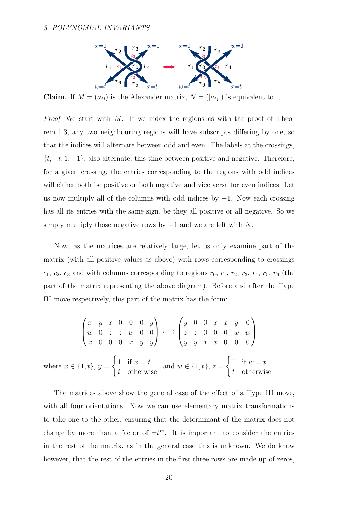

**Claim.** If  $M = (a_{ij})$  is the Alexander matrix,  $N = (|a_{ij}|)$  is equivalent to it.

Proof. We start with M. If we index the regions as with the proof of Theorem [1.](#page-12-2)3, any two neighbouring regions will have subscripts differing by one, so that the indices will alternate between odd and even. The labels at the crossings,  $\{t, -t, 1, -1\}$ , also alternate, this time between positive and negative. Therefore, for a given crossing, the entries corresponding to the regions with odd indices will either both be positive or both negative and vice versa for even indices. Let us now multiply all of the columns with odd indices by  $-1$ . Now each crossing has all its entries with the same sign, be they all positive or all negative. So we simply multiply those negative rows by  $-1$  and we are left with N.  $\Box$ 

Now, as the matrices are relatively large, let us only examine part of the matrix (with all positive values as above) with rows corresponding to crossings  $c_1, c_2, c_3$  and with columns corresponding to regions  $r_0, r_1, r_2, r_3, r_4, r_5, r_6$  (the part of the matrix representing the above diagram). Before and after the Type III move respectively, this part of the matrix has the form:

$$
\begin{pmatrix} x & y & x & 0 & 0 & 0 & y \\ w & 0 & z & z & w & 0 & 0 \\ x & 0 & 0 & 0 & x & y & y \end{pmatrix} \longleftrightarrow \begin{pmatrix} y & 0 & 0 & x & x & y & 0 \\ z & z & 0 & 0 & 0 & w & w \\ y & y & x & x & 0 & 0 & 0 \end{pmatrix}
$$
  
where  $x \in \{1, t\}, y = \begin{cases} 1 & \text{if } x = t \\ t & \text{otherwise} \end{cases}$  and  $w \in \{1, t\}, z = \begin{cases} 1 & \text{if } w = t \\ t & \text{otherwise} \end{cases}$ 

The matrices above show the general case of the effect of a Type III move, with all four orientations. Now we can use elementary matrix transformations to take one to the other, ensuring that the determinant of the matrix does not change by more than a factor of  $\pm t^m$ . It is important to consider the entries in the rest of the matrix, as in the general case this is unknown. We do know however, that the rest of the entries in the first three rows are made up of zeros,

.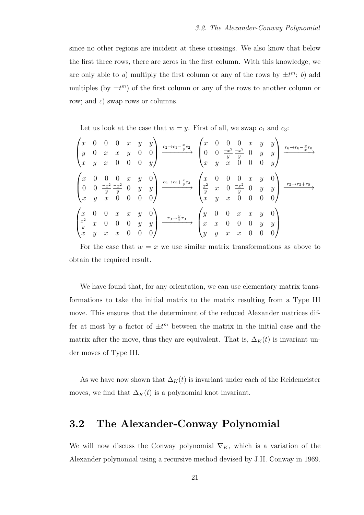since no other regions are incident at these crossings. We also know that below the first three rows, there are zeros in the first column. With this knowledge, we are only able to a) multiply the first column or any of the rows by  $\pm t^m$ ; b) add multiples (by  $\pm t^m$ ) of the first column or any of the rows to another column or row; and c) swap rows or columns.

Let us look at the case that  $w = y$ . First of all, we swap  $c_1$  and  $c_3$ :

| $\boldsymbol{x}$<br>$\boldsymbol{y}$<br>$\boldsymbol{x}$           | $\cup$<br>$\boldsymbol{y}$           | $\boldsymbol{x}$<br>$\boldsymbol{x}$                            | $\boldsymbol{x}$<br>$\cup$                | $\boldsymbol{x}$<br>$\boldsymbol{y}$<br>$\boldsymbol{0}$ | $\boldsymbol{y}$<br>U<br>$\theta$                | $y \mid$<br>$\overline{0}$<br>$\boldsymbol{y}$         | $-\frac{x}{y}$<br>$c_2 \rightarrow c_1$   | $\boldsymbol{x}$<br>$\theta$<br>$\boldsymbol{x}$       | $\theta$<br>$\theta$<br>$\boldsymbol{y}$ | $\overline{0}$<br>$\theta$<br>$\frac{-x^2}{y} \frac{-x^2}{y}$<br>$\boldsymbol{x}$               | $\boldsymbol{x}$<br>$\theta$<br>$\overline{0}$<br>$\overline{0}$ | $\boldsymbol{y}$<br>$\boldsymbol{y}$<br>$\theta$ | $y \mid$<br>$\boldsymbol{y}$<br>$\boldsymbol{y}$ | $r_6 \rightarrow r_6$    |
|--------------------------------------------------------------------|--------------------------------------|-----------------------------------------------------------------|-------------------------------------------|----------------------------------------------------------|--------------------------------------------------|--------------------------------------------------------|-------------------------------------------|--------------------------------------------------------|------------------------------------------|-------------------------------------------------------------------------------------------------|------------------------------------------------------------------|--------------------------------------------------|--------------------------------------------------|--------------------------|
| $\boldsymbol{x}$<br>$\overline{0}$<br>$\boldsymbol{x}$             | $\boldsymbol{0}$<br>$\boldsymbol{y}$ | $\theta$<br>$\frac{-x^2}{y} \frac{-x^2}{y}$<br>$\boldsymbol{x}$ | $\theta$<br>$\boldsymbol{0}$              | $\boldsymbol{x}$<br>$\overline{0}$<br>$\boldsymbol{0}$   | $\boldsymbol{y}$<br>$\boldsymbol{y}$<br>$\theta$ | $\boldsymbol{0}$<br>$\boldsymbol{y}$<br>0 <sub>1</sub> | $\xrightarrow{c_2\to c_2+\frac{x}{y}c_3}$ | $\frac{x}{y}$<br>$\boldsymbol{x}$                      | $\frac{0}{x}$<br>$\boldsymbol{y}$        | $\vert 0 \vert$<br>$\begin{matrix} 0 \\ 0 \end{matrix}$<br>$\frac{-x^2}{y}$<br>$\boldsymbol{x}$ | $\boldsymbol{x}$<br>$\theta$<br>$\theta$<br>$\overline{0}$       | $\boldsymbol{y}$<br>$\boldsymbol{y}$<br>$\theta$ | $\boldsymbol{y}$                                 | $r_3\rightarrow r_3+r_0$ |
| $\begin{cases} x \\ \frac{x^2}{y} \end{cases}$<br>$\boldsymbol{x}$ | $\boldsymbol{x}$<br>$\boldsymbol{y}$ | $\boldsymbol{0}$<br>$\theta$<br>$\boldsymbol{x}$                | $\boldsymbol{x}$<br>U<br>$\boldsymbol{x}$ | $\boldsymbol{x}$<br>$\theta$<br>$\theta$                 | Y<br>$\boldsymbol{y}$<br>$\theta$                | $\theta$<br>$\boldsymbol{y}$<br>0                      | $r_0 {\rightarrow} \frac{y}{x} r_0$       | $\boldsymbol{y}$<br>$\boldsymbol{x}$<br>$\overline{y}$ | $\boldsymbol{x}$<br>$\boldsymbol{y}$     | $\boldsymbol{x}$<br>$\boldsymbol{x}$                                                            | $\boldsymbol{x}$<br>$\theta$<br>$\theta$<br>$\boldsymbol{x}$     | $\boldsymbol{y}$<br>$\boldsymbol{y}$<br>$\theta$ | $\mathcal{Y}$                                    |                          |

For the case that  $w = x$  we use similar matrix transformations as above to obtain the required result.

We have found that, for any orientation, we can use elementary matrix transformations to take the initial matrix to the matrix resulting from a Type III move. This ensures that the determinant of the reduced Alexander matrices differ at most by a factor of  $\pm t^m$  between the matrix in the initial case and the matrix after the move, thus they are equivalent. That is,  $\Delta_K(t)$  is invariant under moves of Type III.

As we have now shown that  $\Delta_K(t)$  is invariant under each of the Reidemeister moves, we find that  $\Delta_K(t)$  is a polynomial knot invariant.

#### <span id="page-20-0"></span>3.2 The Alexander-Conway Polynomial

We will now discuss the Conway polynomial  $\nabla_K$ , which is a variation of the Alexander polynomial using a recursive method devised by J.H. Conway in 1969.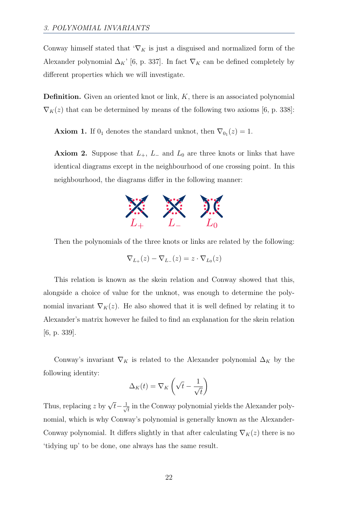Conway himself stated that  $\mathcal{L}_K$  is just a disguised and normalized form of the Alexander polynomial  $\Delta_K$ ' [\[6,](#page-54-1) p. 337]. In fact  $\nabla_K$  can be defined completely by different properties which we will investigate.

**Definition.** Given an oriented knot or link,  $K$ , there is an associated polynomial  $\nabla_K(z)$  that can be determined by means of the following two axioms [\[6,](#page-54-1) p. 338]:

**Axiom 1.** If  $0<sub>1</sub>$  denotes the standard unknot, then  $\nabla_{0<sub>1</sub>}(z) = 1$ .

**Axiom 2.** Suppose that  $L_+$ ,  $L_-$  and  $L_0$  are three knots or links that have identical diagrams except in the neighbourhood of one crossing point. In this neighbourhood, the diagrams differ in the following manner:



Then the polynomials of the three knots or links are related by the following:

$$
\nabla_{L_+}(z) - \nabla_{L_-}(z) = z \cdot \nabla_{L_0}(z)
$$

This relation is known as the skein relation and Conway showed that this, alongside a choice of value for the unknot, was enough to determine the polynomial invariant  $\nabla_K(z)$ . He also showed that it is well defined by relating it to Alexander's matrix however he failed to find an explanation for the skein relation [\[6,](#page-54-1) p. 339].

Conway's invariant  $\nabla_K$  is related to the Alexander polynomial  $\Delta_K$  by the following identity:

$$
\Delta_K(t) = \nabla_K \left( \sqrt{t} - \frac{1}{\sqrt{t}} \right)
$$

Thus, replacing z by  $\sqrt{t} - \frac{1}{\sqrt{t}}$  $\overline{t}_{\overline{t}}$  in the Conway polynomial yields the Alexander polynomial, which is why Conway's polynomial is generally known as the Alexander-Conway polynomial. It differs slightly in that after calculating  $\nabla_K(z)$  there is no 'tidying up' to be done, one always has the same result.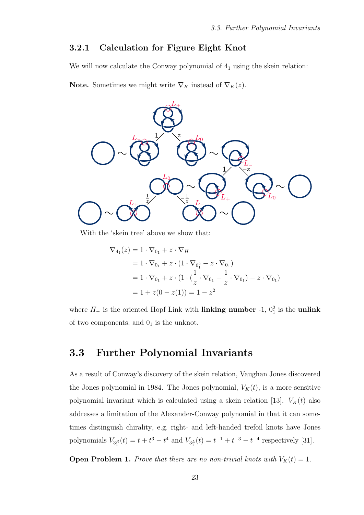#### <span id="page-22-0"></span>3.2.1 Calculation for Figure Eight Knot

We will now calculate the Conway polynomial of  $4<sub>1</sub>$  using the skein relation:

**Note.** Sometimes we might write  $\nabla_K$  instead of  $\nabla_K(z)$ .



With the 'skein tree' above we show that:

$$
\nabla_{4_1}(z) = 1 \cdot \nabla_{0_1} + z \cdot \nabla_{H_{-}}
$$
  
= 1 \cdot \nabla\_{0\_1} + z \cdot (1 \cdot \nabla\_{0\_1^2} - z \cdot \nabla\_{0\_1})  
= 1 \cdot \nabla\_{0\_1} + z \cdot (1 \cdot (\frac{1}{z} \cdot \nabla\_{0\_1} - \frac{1}{z} \cdot \nabla\_{0\_1}) - z \cdot \nabla\_{0\_1})  
= 1 + z(0 - z(1)) = 1 - z<sup>2</sup>

where  $H_-\$  is the oriented Hopf Link with **[linking number](#page-51-2)** -1,  $0_1^2$  is the **[unlink](#page-53-1)** of two components, and  $0<sub>1</sub>$  is the [unknot.](#page-53-0)

### <span id="page-22-1"></span>3.3 Further Polynomial Invariants

As a result of Conway's discovery of the skein relation, Vaughan Jones discovered the Jones polynomial in 1984. The Jones polynomial,  $V_K(t)$ , is a more sensitive polynomial invariant which is calculated using a skein relation [\[13\]](#page-55-3).  $V_K(t)$  also addresses a limitation of the Alexander-Conway polynomial in that it can sometimes distinguish [chirality,](#page-50-2) e.g. right- and left-handed trefoil knots have Jones polynomials  $V_{3_1^R}(t) = t + t^3 - t^4$  and  $V_{3_1^L}(t) = t^{-1} + t^{-3} - t^{-4}$  respectively [\[31\]](#page-56-3).

**Open Problem 1.** Prove that there are no non-trivial knots with  $V_K(t) = 1$ .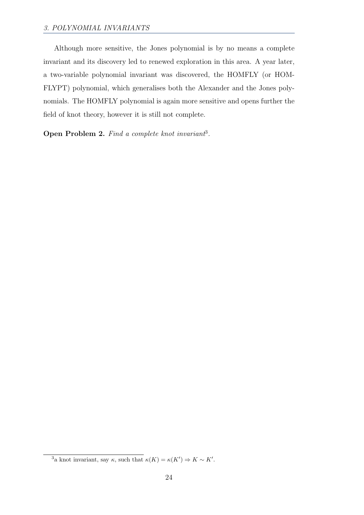Although more sensitive, the Jones polynomial is by no means a complete invariant and its discovery led to renewed exploration in this area. A year later, a two-variable polynomial invariant was discovered, the HOMFLY (or HOM-FLYPT) polynomial, which generalises both the Alexander and the Jones polynomials. The HOMFLY polynomial is again more sensitive and opens further the field of knot theory, however it is still not complete.

Open Problem 2. Find a complete knot invariant<sup>[3](#page-23-0)</sup>.

<span id="page-23-0"></span><sup>&</sup>lt;sup>3</sup>a knot invariant, say  $\kappa$ , such that  $\kappa(K) = \kappa(K') \Rightarrow K \sim K'$ .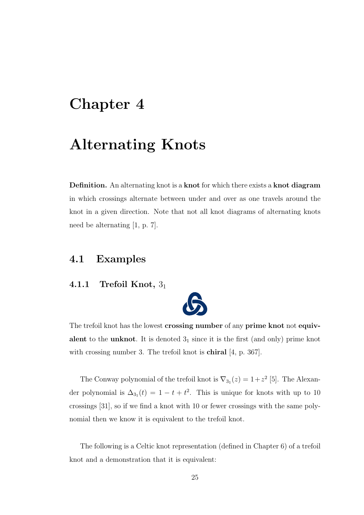## <span id="page-24-0"></span>Chapter 4

# Alternating Knots

Definition. An alternating knot is a [knot](#page-50-1) for which there exists a [knot diagram](#page-51-3) in which crossings alternate between under and over as one travels around the knot in a given direction. Note that not all [knot diagrams](#page-51-3) of alternating [knots](#page-50-1) need be alternating [\[1,](#page-54-4) p. 7].

### <span id="page-24-1"></span>4.1 Examples

#### <span id="page-24-2"></span>4.1.1 Trefoil Knot,  $3<sub>1</sub>$



The trefoil [knot](#page-50-1) has the lowest [crossing number](#page-50-3) of any [prime knot](#page-52-1) not [equiv](#page-51-0)[alent](#page-51-0) to the [unknot](#page-53-0). It is denoted  $3<sub>1</sub>$  since it is the first (and only) [prime knot](#page-52-1) with [crossing number](#page-50-3) 3. The trefoil knot is **[chiral](#page-50-2)** [\[4,](#page-54-5) p. 367].

The Conway polynomial of the trefoil knot is  $\nabla_{3_1}(z) = 1 + z^2$  [\[5\]](#page-54-6). The Alexander polynomial is  $\Delta_{3_1}(t) = 1 - t + t^2$ . This is unique for knots with up to 10 crossings [\[31\]](#page-56-3), so if we find a knot with 10 or fewer crossings with the same polynomial then we know it is equivalent to the trefoil knot.

The following is a Celtic knot representation (defined in Chapter [6\)](#page-30-0) of a trefoil knot and a demonstration that it is equivalent: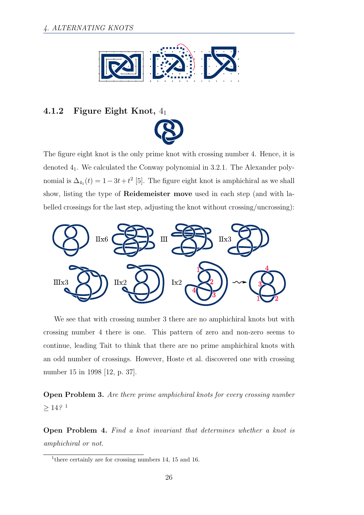

#### <span id="page-25-0"></span>4.1.2 Figure Eight Knot, 4<sup>1</sup>



The figure eight [knot](#page-50-1) is the only [prime knot](#page-52-1) with [crossing number](#page-50-3) 4. Hence, it is denoted 41. We calculated the Conway polynomial in [3.2.1.](#page-22-0) The Alexander polynomial is  $\Delta_{4_1}(t) = 1 - 3t + t^2$  [\[5\]](#page-54-6). The figure eight knot is [amphichiral](#page-50-2) as we shall show, listing the type of [Reidemeister move](#page-52-0) used in each step (and with labelled crossings for the last step, adjusting the knot without crossing/uncrossing):



We see that with crossing number 3 there are no amphichiral knots but with crossing number 4 there is one. This pattern of zero and non-zero seems to continue, leading Tait to think that there are no prime amphichiral knots with an odd number of crossings. However, Hoste et al. discovered one with crossing number 15 in 1998 [\[12,](#page-55-5) p. 37].

Open Problem 3. Are there prime amphichiral knots for every crossing number  $\geq 14\,{}^{0.1}$  $\geq 14\,{}^{0.1}$  $\geq 14\,{}^{0.1}$ 

Open Problem 4. Find a knot invariant that determines whether a knot is amphichiral or not.

<span id="page-25-1"></span><sup>&</sup>lt;sup>1</sup> there certainly are for crossing numbers 14, 15 and 16.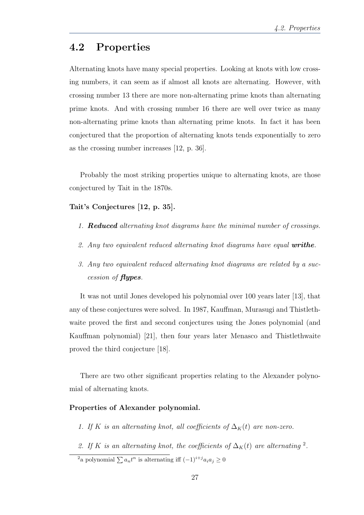### <span id="page-26-0"></span>4.2 Properties

Alternating knots have many special properties. Looking at knots with low crossing numbers, it can seem as if almost all knots are alternating. However, with crossing number 13 there are more non-alternating prime knots than alternating prime knots. And with crossing number 16 there are well over twice as many non-alternating prime knots than alternating prime knots. In fact it has been conjectured that the proportion of alternating knots tends exponentially to zero as the crossing number increases [\[12,](#page-55-5) p. 36].

Probably the most striking properties unique to alternating knots, are those conjectured by Tait in the 1870s.

Tait's Conjectures [\[12,](#page-55-5) p. 35].

- 1. **[Reduced](#page-52-2)** alternating [knot diagrams](#page-51-3) have the minimal number of crossings.
- 2. Any two [equivalent](#page-51-0) [reduced](#page-52-2) alternating knot diagrams have equal **[writhe](#page-53-2)**.
- <span id="page-26-2"></span>3. Any two [equivalent](#page-51-0) [reduced](#page-52-2) alternating knot diagrams are related by a succession of [flypes](#page-50-4).

It was not until Jones developed his polynomial over 100 years later [\[13\]](#page-55-3), that any of these conjectures were solved. In 1987, Kauffman, Murasugi and Thistlethwaite proved the first and second conjectures using the Jones polynomial (and Kauffman polynomial) [\[21\]](#page-55-6), then four years later Menasco and Thistlethwaite proved the third conjecture [\[18\]](#page-55-7).

There are two other significant properties relating to the Alexander polynomial of alternating knots.

#### Properties of Alexander polynomial.

- 1. If K is an alternating knot, all coefficients of  $\Delta_K(t)$  are non-zero.
- [2](#page-26-1). If K is an alternating knot, the coefficients of  $\Delta_K(t)$  are alternating <sup>2</sup>.

<span id="page-26-1"></span><sup>2</sup>a polynomial  $\sum a_n t^n$  is alternating iff  $(-1)^{i+j} a_i a_j \ge 0$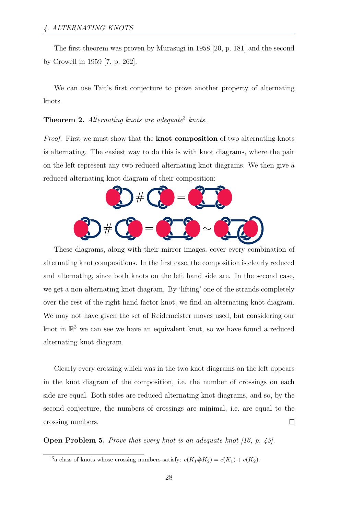The first theorem was proven by Murasugi in 1958 [\[20,](#page-55-8) p. 181] and the second by Crowell in 1959 [\[7,](#page-54-7) p. 262].

We can use Tait's first conjecture to prove another property of alternating knots.

**Theorem 2.** Alternating knots are adequate<sup>[3](#page-27-0)</sup> knots.

*Proof.* First we must show that the **[knot composition](#page-50-5)** of two alternating knots is alternating. The easiest way to do this is with knot diagrams, where the pair on the left represent any two reduced alternating knot diagrams. We then give a reduced alternating knot diagram of their composition:



These diagrams, along with their mirror images, cover every combination of alternating knot compositions. In the first case, the composition is clearly reduced and alternating, since both knots on the left hand side are. In the second case, we get a non-alternating knot diagram. By 'lifting' one of the strands completely over the rest of the right hand factor knot, we find an alternating knot diagram. We may not have given the set of [Reidemeister moves](#page-52-0) used, but considering our knot in  $\mathbb{R}^3$  we can see we have an equivalent knot, so we have found a reduced alternating knot diagram.

Clearly every crossing which was in the two knot diagrams on the left appears in the knot diagram of the composition, i.e. the number of crossings on each side are equal. Both sides are reduced alternating knot diagrams, and so, by the second conjecture, the numbers of crossings are minimal, i.e. are equal to the [crossing numbers.](#page-50-3)  $\Box$ 

Open Problem 5. Prove that every knot is an adequate knot [\[16,](#page-55-9) p. 45].

<span id="page-27-0"></span><sup>&</sup>lt;sup>3</sup>a class of knots whose crossing numbers satisfy:  $c(K_1 \# K_2) = c(K_1) + c(K_2)$ .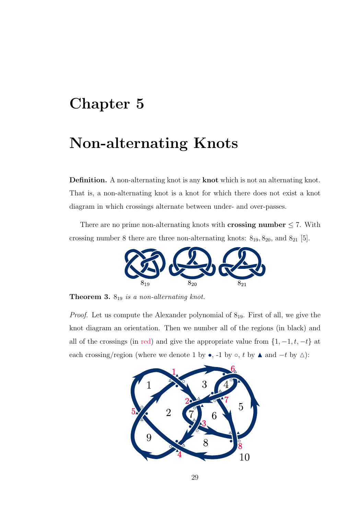## <span id="page-28-0"></span>Chapter 5

### Non-alternating Knots

Definition. A non-alternating knot is any [knot](#page-50-1) which is not an alternating knot. That is, a non-alternating knot is a [knot](#page-50-1) for which there does not exist a [knot](#page-51-3) [diagram](#page-51-3) in which crossings alternate between under- and over-passes.

There are no prime non-alternating [knots](#page-50-1) with **[crossing number](#page-50-3)**  $\leq 7$ . With [crossing number](#page-50-3) 8 there are three non-alternating [knots:](#page-50-1)  $8_{19}$ ,  $8_{20}$ , and  $8_{21}$  [\[5\]](#page-54-6).



<span id="page-28-1"></span>**Theorem 3.**  $8_{19}$  is a non-alternating knot.

*Proof.* Let us compute the Alexander polynomial of  $8_{19}$ . First of all, we give the knot diagram an orientation. Then we number all of the regions (in black) and all of the crossings (in red) and give the appropriate value from  $\{1, -1, t, -t\}$  at each crossing/region (where we denote 1 by •, -1 by  $\circ$ , t by  $\blacktriangle$  and  $-t$  by  $\triangle$ ):

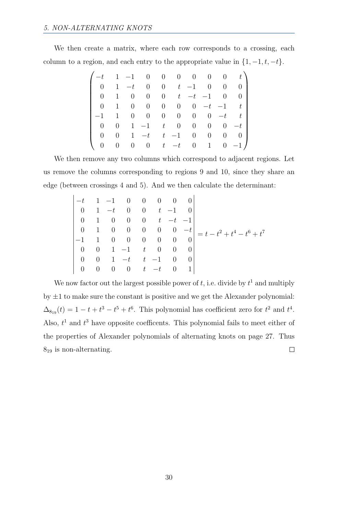We then create a matrix, where each row corresponds to a crossing, each column to a region, and each entry to the appropriate value in  $\{1, -1, t, -t\}$ .

|                  |                |                  |                |                 |                |                |                |                | $-t$ 1 -1 0 0 0 0 0 0 t) |
|------------------|----------------|------------------|----------------|-----------------|----------------|----------------|----------------|----------------|--------------------------|
| $\overline{0}$   | $\mathbf{1}$   | $-t$             | $\overline{0}$ |                 | 0 $t$ $-1$     |                |                |                | $0 \quad 0 \quad 0$      |
| $\overline{0}$   |                |                  | $\theta$       |                 | $0 \quad t$    |                | $-t$ $-1$      |                | $0 \quad 0$              |
| $\overline{0}$   | 1              | $\boldsymbol{0}$ | $\overline{0}$ | $\overline{0}$  | $\overline{0}$ | $\overline{0}$ |                |                | $-t$ $-1$ $t$            |
| $-1$             | 1              |                  | $\overline{0}$ | $\vert 0 \vert$ | $\overline{0}$ | $\overline{0}$ | $\overline{0}$ | $-t$           | $t_{-}$                  |
| $\overline{0}$   | $\overline{0}$ | $\mathbf{1}$     | $-1$           | t               |                | $0\qquad 0$    |                | $0 \quad 0$    | $-t$                     |
| $\theta$         | $\overline{0}$ | 1                | $-t$           | $t_{\rm}$       | $-1$           | $\overline{0}$ | $\overline{0}$ | $\overline{0}$ | $\vert 0 \vert$          |
| $\boldsymbol{0}$ | $\overline{0}$ | $\overline{0}$   | $\overline{0}$ | $-t$            | $-t$           |                |                |                | $0 \t 1 \t 0 \t -1$      |

We then remove any two columns which correspond to adjacent regions. Let us remove the columns corresponding to regions 9 and 10, since they share an edge (between crossings 4 and 5). And we then calculate the determinant:

$$
\begin{vmatrix}\n-t & 1 & -1 & 0 & 0 & 0 & 0 & 0 \\
0 & 1 & -t & 0 & 0 & t & -1 & 0 \\
0 & 1 & 0 & 0 & 0 & t & -t & -1 \\
0 & 1 & 0 & 0 & 0 & 0 & 0 & -t \\
-1 & 1 & 0 & 0 & 0 & 0 & 0 & 0 \\
0 & 0 & 1 & -1 & t & 0 & 0 & 0 \\
0 & 0 & 1 & -t & t & -1 & 0 & 0 \\
0 & 0 & 0 & 0 & t & -t & 0 & 1\n\end{vmatrix} = t - t^2 + t^4 - t^6 + t^7
$$

We now factor out the largest possible power of  $t$ , i.e. divide by  $t<sup>1</sup>$  and multiply by  $\pm 1$  to make sure the constant is positive and we get the Alexander polynomial:  $\Delta_{8_{19}}(t) = 1 - t + t^3 - t^5 + t^6$ . This polynomial has coefficient zero for  $t^2$  and  $t^4$ . Also,  $t<sup>1</sup>$  and  $t<sup>3</sup>$  have opposite coefficents. This polynomial fails to meet either of the properties of Alexander polynomials of alternating knots on page [27.](#page-26-2) Thus  $8_{19}$  is non-alternating.  $\Box$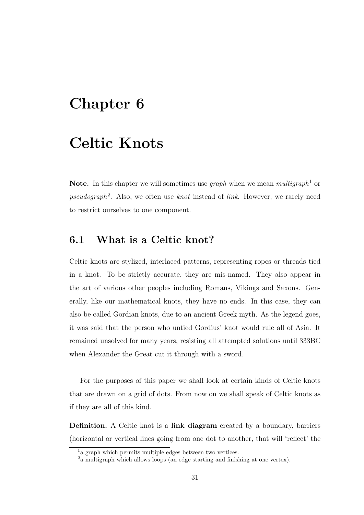### <span id="page-30-0"></span>Chapter 6

## Celtic Knots

**Note.** In this chapter we will sometimes use *graph* when we mean *multigraph*<sup>[1](#page-30-2)</sup> or pseudograph<sup>[2](#page-30-3)</sup>. Also, we often use knot instead of link. However, we rarely need to restrict ourselves to one component.

#### <span id="page-30-1"></span>6.1 What is a Celtic knot?

Celtic knots are stylized, interlaced patterns, representing ropes or threads tied in a knot. To be strictly accurate, they are mis-named. They also appear in the art of various other peoples including Romans, Vikings and Saxons. Generally, like our mathematical knots, they have no ends. In this case, they can also be called Gordian knots, due to an ancient Greek myth. As the legend goes, it was said that the person who untied Gordius' knot would rule all of Asia. It remained unsolved for many years, resisting all attempted solutions until 333BC when Alexander the Great cut it through with a sword.

For the purposes of this paper we shall look at certain kinds of Celtic knots that are drawn on a grid of dots. From now on we shall speak of Celtic knots as if they are all of this kind.

Definition. A Celtic knot is a [link diagram](#page-51-3) created by a boundary, barriers (horizontal or vertical lines going from one dot to another, that will 'reflect' the

<span id="page-30-2"></span><sup>&</sup>lt;sup>1</sup>a graph which permits multiple edges between two vertices.

<span id="page-30-3"></span><sup>2</sup>a multigraph which allows loops (an edge starting and finishing at one vertex).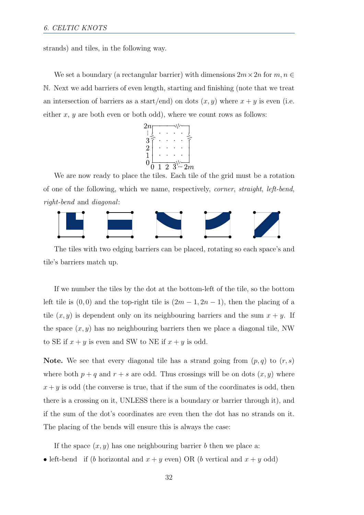strands) and tiles, in the following way.

We set a boundary (a rectangular barrier) with dimensions  $2m \times 2n$  for  $m, n \in$ N. Next we add barriers of even length, starting and finishing (note that we treat an intersection of barriers as a start/end) on dots  $(x, y)$  where  $x + y$  is even (i.e. either  $x, y$  are both even or both odd), where we count rows as follows:

$$
\begin{array}{c}\n2n \\
\vdots \\
3\n\end{array}\n\begin{array}{ccc}\n\ddots & \cdots \\
\ddots & \ddots \\
2\n\end{array}\n\begin{array}{ccc}\n\ddots & \ddots \\
\ddots & \ddots \\
0 & 1 & 2 & 3\n\end{array}\n\begin{array}{ccc}\n\ddots & \ddots \\
\ddots & \ddots & \ddots \\
2n & \cdots \\
\ddots & \ddots & \ddots\n\end{array}
$$

We are now ready to place the tiles. Each tile of the grid must be a rotation of one of the following, which we name, respectively, corner, straight, left-bend, right-bend and diagonal:



The tiles with two edging barriers can be placed, rotating so each space's and tile's barriers match up.

If we number the tiles by the dot at the bottom-left of the tile, so the bottom left tile is  $(0, 0)$  and the top-right tile is  $(2m - 1, 2n - 1)$ , then the placing of a tile  $(x, y)$  is dependent only on its neighbouring barriers and the sum  $x + y$ . If the space  $(x, y)$  has no neighbouring barriers then we place a diagonal tile, NW to SE if  $x + y$  is even and SW to NE if  $x + y$  is odd.

**Note.** We see that every diagonal tile has a strand going from  $(p, q)$  to  $(r, s)$ where both  $p + q$  and  $r + s$  are odd. Thus crossings will be on dots  $(x, y)$  where  $x + y$  is odd (the converse is true, that if the sum of the coordinates is odd, then there is a crossing on it, UNLESS there is a boundary or barrier through it), and if the sum of the dot's coordinates are even then the dot has no strands on it. The placing of the bends will ensure this is always the case:

If the space  $(x, y)$  has one neighbouring barrier b then we place a:

• left-bend if (b horizontal and  $x + y$  even) OR (b vertical and  $x + y$  odd)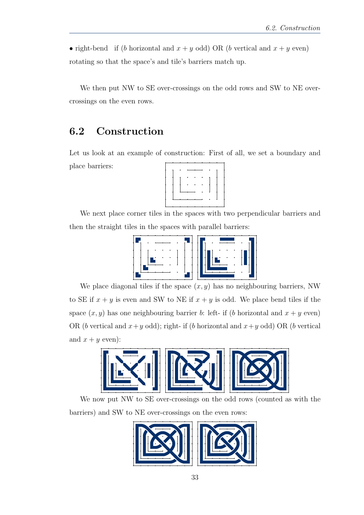• right-bend if (b horizontal and  $x + y$  odd) OR (b vertical and  $x + y$  even) rotating so that the space's and tile's barriers match up.

We then put NW to SE over-crossings on the odd rows and SW to NE overcrossings on the even rows.

### <span id="page-32-0"></span>6.2 Construction

Let us look at an example of construction: First of all, we set a boundary and place barriers:



We next place corner tiles in the spaces with two perpendicular barriers and then the straight tiles in the spaces with parallel barriers:



We place diagonal tiles if the space  $(x, y)$  has no neighbouring barriers, NW to SE if  $x + y$  is even and SW to NE if  $x + y$  is odd. We place bend tiles if the space  $(x, y)$  has one neighbouring barrier b: left- if (b horizontal and  $x + y$  even) OR (b vertical and  $x+y$  odd); right- if (b horizontal and  $x+y$  odd) OR (b vertical and  $x + y$  even):



We now put NW to SE over-crossings on the odd rows (counted as with the barriers) and SW to NE over-crossings on the even rows:

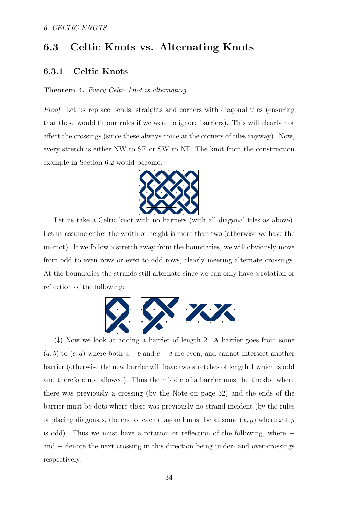### <span id="page-33-0"></span>6.3 Celtic Knots vs. Alternating Knots

#### <span id="page-33-1"></span>6.3.1 Celtic Knots

#### Theorem 4. Every Celtic knot is alternating.

Proof. Let us replace bends, straights and corners with diagonal tiles (ensuring that these would fit our rules if we were to ignore barriers). This will clearly not affect the crossings (since these always come at the corners of tiles anyway). Now, every stretch is either NW to SE or SW to NE. The knot from the construction example in Section [6.2](#page-32-0) would become:



Let us take a Celtic knot with no barriers (with all diagonal tiles as above). Let us assume either the width or height is more than two (otherwise we have the unknot). If we follow a stretch away from the boundaries, we will obviously move from odd to even rows or even to odd rows, clearly meeting alternate crossings. At the boundaries the strands still alternate since we can only have a rotation or reflection of the following:



( † ) Now we look at adding a barrier of length 2. A barrier goes from some  $(a, b)$  to  $(c, d)$  where both  $a + b$  and  $c + d$  are even, and cannot intersect another barrier (otherwise the new barrier will have two stretches of length 1 which is odd and therefore not allowed). Thus the middle of a barrier must be the dot where there was previously a crossing (by the Note on page [32\)](#page-30-1) and the ends of the barrier must be dots where there was previously no strand incident (by the rules of placing diagonals, the end of each diagonal must be at some  $(x, y)$  where  $x + y$ is odd). Thus we must have a rotation or reflection of the following, where − and  $+$  denote the next crossing in this direction being under- and over-crossings respectively: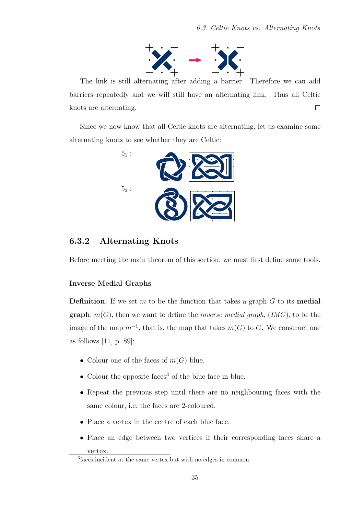

The link is still alternating after adding a barrier. Therefore we can add barriers repeatedly and we will still have an alternating link. Thus all Celtic knots are alternating.  $\Box$ 

Since we now know that all Celtic knots are alternating, let us examine some alternating knots to see whether they are Celtic:



#### <span id="page-34-0"></span>6.3.2 Alternating Knots

Before meeting the main theorem of this section, we must first define some tools.

#### Inverse Medial Graphs

vertex.

**Definition.** If we set m to be the function that takes a graph  $G$  to its [medial](#page-52-3) **[graph](#page-52-3)**,  $m(G)$ , then we want to define the *inverse medial graph*,  $(IMG)$ , to be the image of the map  $m^{-1}$ , that is, the map that takes  $m(G)$  to G. We construct one as follows [\[11,](#page-55-10) p. 89]:

- Colour one of the faces of  $m(G)$  blue.
- Colour the opposite faces<sup>[3](#page-34-1)</sup> of the blue face in blue.
- Repeat the previous step until there are no neighbouring faces with the same colour, i.e. the faces are 2-coloured.
- Place a vertex in the centre of each blue face.
- Place an edge between two vertices if their corresponding faces share a

<span id="page-34-1"></span><sup>3</sup> faces incident at the same vertex but with no edges in common.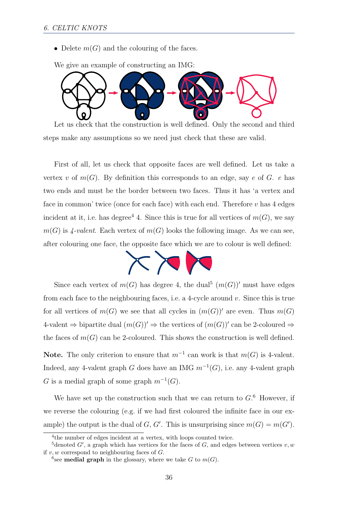• Delete  $m(G)$  and the colouring of the faces.



We give an example of constructing an IMG:

Let us check that the construction is well defined. Only the second and third steps make any assumptions so we need just check that these are valid.

First of all, let us check that opposite faces are well defined. Let us take a vertex v of  $m(G)$ . By definition this corresponds to an edge, say e of G. e has two ends and must be the border between two faces. Thus it has 'a vertex and face in common' twice (once for each face) with each end. Therefore  $v$  has  $4$  edges incident at it, i.e. has degree<sup>[4](#page-35-0)</sup> 4. Since this is true for all vertices of  $m(G)$ , we say  $m(G)$  is 4-valent. Each vertex of  $m(G)$  looks the following image. As we can see, after colouring one face, the opposite face which we are to colour is well defined:



Since each vertex of  $m(G)$  has degree 4, the dual<sup>[5](#page-35-1)</sup>  $(m(G))'$  must have edges from each face to the neighbouring faces, i.e. a 4-cycle around v. Since this is true for all vertices of  $m(G)$  we see that all cycles in  $(m(G))'$  are even. Thus  $m(G)$ 4-valent  $\Rightarrow$  bipartite dual  $(m(G))' \Rightarrow$  the vertices of  $(m(G))'$  can be 2-coloured  $\Rightarrow$ the faces of  $m(G)$  can be 2-coloured. This shows the construction is well defined.

**Note.** The only criterion to ensure that  $m^{-1}$  can work is that  $m(G)$  is 4-valent. Indeed, any 4-valent graph G does have an IMG  $m^{-1}(G)$ , i.e. any 4-valent graph G is a medial graph of some graph  $m^{-1}(G)$ .

We have set up the construction such that we can return to  $G<sup>6</sup>$  $G<sup>6</sup>$  $G<sup>6</sup>$  However, if we reverse the colouring (e.g. if we had first coloured the infinite face in our example) the output is the dual of G, G'. This is unsurprising since  $m(G) = m(G')$ .

<span id="page-35-1"></span><span id="page-35-0"></span><sup>4</sup> the number of edges incident at a vertex, with loops counted twice.

<sup>&</sup>lt;sup>5</sup>denoted  $G'$ , a graph which has vertices for the faces of  $G$ , and edges between vertices  $v, w$ if  $v, w$  correspond to neighbouring faces of  $G$ .

<span id="page-35-2"></span><sup>&</sup>lt;sup>6</sup>see **[medial graph](#page-52-3)** in the glossary, where we take G to  $m(G)$ .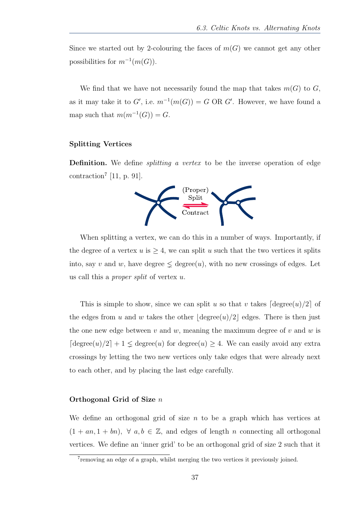Since we started out by 2-colouring the faces of  $m(G)$  we cannot get any other possibilities for  $m^{-1}(m(G))$ .

We find that we have not necessarily found the map that takes  $m(G)$  to G, as it may take it to  $G'$ , i.e.  $m^{-1}(m(G)) = G \text{ OR } G'$ . However, we have found a map such that  $m(m^{-1}(G)) = G$ .

#### Splitting Vertices

**Definition.** We define *splitting a vertex* to be the inverse operation of edge contraction<sup>[7](#page-36-0)</sup> [\[11,](#page-55-10) p. 91].



When splitting a vertex, we can do this in a number of ways. Importantly, if the degree of a vertex  $u$  is  $\geq 4$ , we can split  $u$  such that the two vertices it splits into, say v and w, have degree  $\leq$  degree $(u)$ , with no new crossings of edges. Let us call this a proper split of vertex u.

This is simple to show, since we can split u so that v takes  $\lceil \text{degree}(u)/2 \rceil$  of the edges from u and w takes the other  $\lfloor \text{degree}(u)/2 \rfloor$  edges. There is then just the one new edge between  $v$  and  $w$ , meaning the maximum degree of  $v$  and  $w$  is  $\lceil \text{degree}(u)/2 \rceil + 1 \leq \text{degree}(u)$  for  $\text{degree}(u) \geq 4$ . We can easily avoid any extra crossings by letting the two new vertices only take edges that were already next to each other, and by placing the last edge carefully.

#### Orthogonal Grid of Size n

We define an orthogonal grid of size  $n$  to be a graph which has vertices at  $(1 + an, 1 + bn), \forall a, b \in \mathbb{Z}$ , and edges of length n connecting all orthogonal vertices. We define an 'inner grid' to be an orthogonal grid of size 2 such that it

<span id="page-36-0"></span><sup>7</sup> removing an edge of a graph, whilst merging the two vertices it previously joined.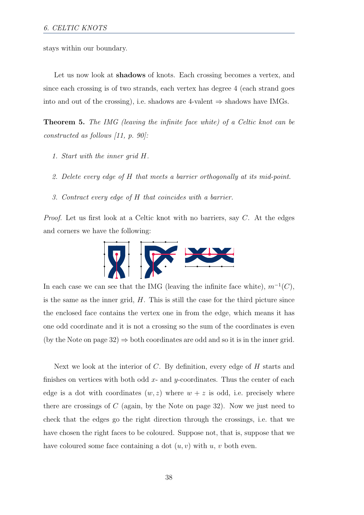stays within our boundary.

Let us now look at **[shadows](#page-53-3)** of knots. Each crossing becomes a vertex, and since each crossing is of two strands, each vertex has degree 4 (each strand goes into and out of the crossing), i.e. shadows are 4-valent  $\Rightarrow$  shadows have IMGs.

<span id="page-37-0"></span>Theorem 5. The IMG (leaving the infinite face white) of a Celtic knot can be constructed as follows [\[11,](#page-55-10) p. 90]:

- 1. Start with the inner grid H.
- 2. Delete every edge of H that meets a barrier orthogonally at its mid-point.
- 3. Contract every edge of H that coincides with a barrier.

Proof. Let us first look at a Celtic knot with no barriers, say C. At the edges and corners we have the following:



In each case we can see that the IMG (leaving the infinite face white),  $m^{-1}(C)$ , is the same as the inner grid,  $H$ . This is still the case for the third picture since the enclosed face contains the vertex one in from the edge, which means it has one odd coordinate and it is not a crossing so the sum of the coordinates is even (by the Note on page [32\)](#page-30-1)  $\Rightarrow$  both coordinates are odd and so it is in the inner grid.

Next we look at the interior of  $C$ . By definition, every edge of  $H$  starts and finishes on vertices with both odd  $x$ - and  $y$ -coordinates. Thus the center of each edge is a dot with coordinates  $(w, z)$  where  $w + z$  is odd, i.e. precisely where there are crossings of  $C$  (again, by the Note on page [32\)](#page-30-1). Now we just need to check that the edges go the right direction through the crossings, i.e. that we have chosen the right faces to be coloured. Suppose not, that is, suppose that we have coloured some face containing a dot  $(u, v)$  with  $u, v$  both even.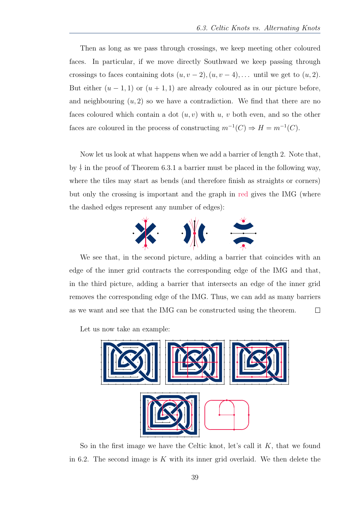Then as long as we pass through crossings, we keep meeting other coloured faces. In particular, if we move directly Southward we keep passing through crossings to faces containing dots  $(u, v - 2), (u, v - 4), \dots$  until we get to  $(u, 2)$ . But either  $(u - 1, 1)$  or  $(u + 1, 1)$  are already coloured as in our picture before, and neighbouring  $(u, 2)$  so we have a contradiction. We find that there are no faces coloured which contain a dot  $(u, v)$  with u, v both even, and so the other faces are coloured in the process of constructing  $m^{-1}(C) \Rightarrow H = m^{-1}(C)$ .

Now let us look at what happens when we add a barrier of length 2. Note that, by † in the proof of Theorem [6.3.1](#page-33-1) a barrier must be placed in the following way, where the tiles may start as bends (and therefore finish as straights or corners) but only the crossing is important and the graph in red gives the IMG (where the dashed edges represent any number of edges):



We see that, in the second picture, adding a barrier that coincides with an edge of the inner grid contracts the corresponding edge of the IMG and that, in the third picture, adding a barrier that intersects an edge of the inner grid removes the corresponding edge of the IMG. Thus, we can add as many barriers as we want and see that the IMG can be constructed using the theorem.  $\Box$ 

Let us now take an example:



So in the first image we have the Celtic knot, let's call it  $K$ , that we found in [6.2.](#page-32-0) The second image is  $K$  with its inner grid overlaid. We then delete the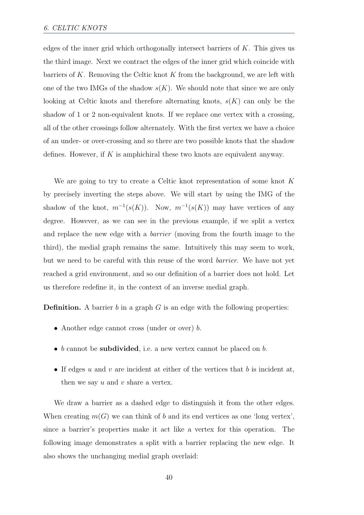edges of the inner grid which orthogonally intersect barriers of  $K$ . This gives us the third image. Next we contract the edges of the inner grid which coincide with barriers of K. Removing the Celtic knot K from the background, we are left with one of the two IMGs of the shadow  $s(K)$ . We should note that since we are only looking at Celtic knots and therefore alternating knots,  $s(K)$  can only be the shadow of 1 or 2 non-equivalent knots. If we replace one vertex with a crossing, all of the other crossings follow alternately. With the first vertex we have a choice of an under- or over-crossing and so there are two possible knots that the shadow defines. However, if  $K$  is amphichiral these two knots are equivalent anyway.

We are going to try to create a Celtic knot representation of some knot K by precisely inverting the steps above. We will start by using the IMG of the shadow of the knot,  $m^{-1}(s(K))$ . Now,  $m^{-1}(s(K))$  may have vertices of any degree. However, as we can see in the previous example, if we split a vertex and replace the new edge with a barrier (moving from the fourth image to the third), the medial graph remains the same. Intuitively this may seem to work, but we need to be careful with this reuse of the word barrier. We have not yet reached a grid environment, and so our definition of a barrier does not hold. Let us therefore redefine it, in the context of an inverse medial graph.

**Definition.** A barrier b in a graph  $G$  is an edge with the following properties:

- Another edge cannot cross (under or over) b.
- b cannot be [subdivided](#page-53-4), i.e. a new vertex cannot be placed on b.
- If edges  $u$  and  $v$  are incident at either of the vertices that  $b$  is incident at, then we say  $u$  and  $v$  share a vertex.

We draw a barrier as a dashed edge to distinguish it from the other edges. When creating  $m(G)$  we can think of b and its end vertices as one 'long vertex', since a barrier's properties make it act like a vertex for this operation. The following image demonstrates a split with a barrier replacing the new edge. It also shows the unchanging medial graph overlaid: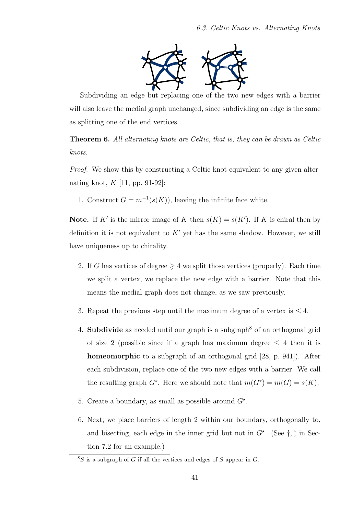

Subdividing an edge but replacing one of the two new edges with a barrier will also leave the medial graph unchanged, since subdividing an edge is the same as splitting one of the end vertices.

<span id="page-40-2"></span>Theorem 6. All alternating knots are Celtic, that is, they can be drawn as Celtic knots.

Proof. We show this by constructing a Celtic knot equivalent to any given alternating knot,  $K$  [\[11,](#page-55-10) pp. 91-92]:

1. Construct  $G = m^{-1}(s(K))$ , leaving the infinite face white.

**Note.** If K' is the mirror image of K then  $s(K) = s(K')$ . If K is chiral then by definition it is not equivalent to  $K'$  yet has the same shadow. However, we still have uniqueness up to chirality.

- 2. If G has vertices of degree  $\geq 4$  we split those vertices (properly). Each time we split a vertex, we replace the new edge with a barrier. Note that this means the medial graph does not change, as we saw previously.
- 3. Repeat the previous step until the maximum degree of a vertex is  $\leq 4$ .
- 4. **[Subdivide](#page-53-4)** as needed until our graph is a subgraph<sup>[8](#page-40-0)</sup> of an orthogonal grid of size 2 (possible since if a graph has maximum degree  $\leq$  4 then it is [homeomorphic](#page-50-6) to a subgraph of an orthogonal grid [\[28,](#page-56-4) p. 941]). After each subdivision, replace one of the two new edges with a barrier. We call the resulting graph  $G^*$ . Here we should note that  $m(G^*) = m(G) = s(K)$ .
- 5. Create a boundary, as small as possible around  $G^*$ .
- <span id="page-40-1"></span>6. Next, we place barriers of length 2 within our boundary, orthogonally to, and bisecting, each edge in the inner grid but not in  $G^*$ . (See  $\dagger$ ,  $\dagger$  in Section [7.2](#page-47-1) for an example.)

<span id="page-40-0"></span> ${}^{8}S$  is a subgraph of G if all the vertices and edges of S appear in G.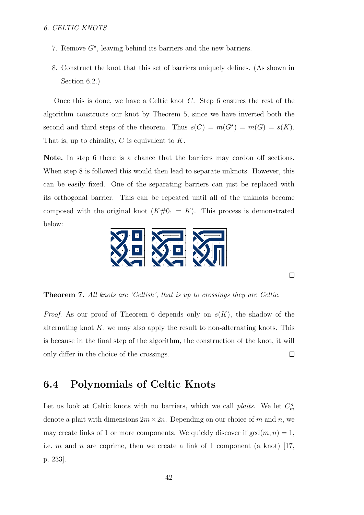- 7. Remove  $G^*$ , leaving behind its barriers and the new barriers.
- <span id="page-41-1"></span>8. Construct the knot that this set of barriers uniquely defines. (As shown in Section [6.2.](#page-32-0))

Once this is done, we have a Celtic knot C. Step [6](#page-40-1) ensures the rest of the algorithm constructs our knot by Theorem [5,](#page-37-0) since we have inverted both the second and third steps of the theorem. Thus  $s(C) = m(G^*) = m(G) = s(K)$ . That is, up to chirality,  $C$  is equivalent to  $K$ .

Note. In step [6](#page-40-1) there is a chance that the barriers may cordon off sections. When step [8](#page-41-1) is followed this would then lead to separate unknots. However, this can be easily fixed. One of the separating barriers can just be replaced with its orthogonal barrier. This can be repeated until all of the unknots become composed with the original knot  $(K\#0<sub>1</sub> = K)$ . This process is demonstrated below:



 $\Box$ 

Theorem 7. All knots are 'Celtish', that is up to crossings they are Celtic.

*Proof.* As our proof of Theorem [6](#page-40-2) depends only on  $s(K)$ , the shadow of the alternating knot  $K$ , we may also apply the result to non-alternating knots. This is because in the final step of the algorithm, the construction of the knot, it will only differ in the choice of the crossings.  $\Box$ 

### <span id="page-41-0"></span>6.4 Polynomials of Celtic Knots

Let us look at Celtic knots with no barriers, which we call *plaits*. We let  $C_m^n$ denote a plait with dimensions  $2m \times 2n$ . Depending on our choice of m and n, we may create links of 1 or more components. We quickly discover if  $gcd(m, n) = 1$ , i.e. m and n are coprime, then we create a link of 1 component (a knot) [\[17,](#page-55-11) p. 233].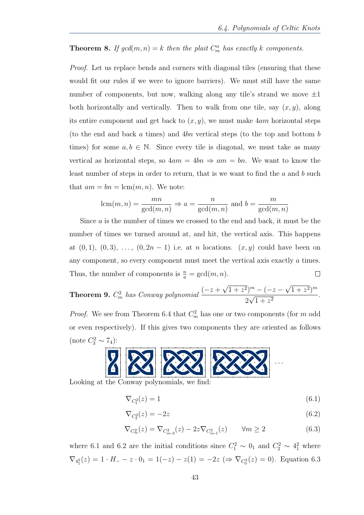#### <span id="page-42-0"></span>**Theorem 8.** If  $gcd(m, n) = k$  then the plait  $C_m^n$  has exactly k components.

Proof. Let us replace bends and corners with diagonal tiles (ensuring that these would fit our rules if we were to ignore barriers). We must still have the same number of components, but now, walking along any tile's strand we move  $\pm 1$ both horizontally and vertically. Then to walk from one tile, say  $(x, y)$ , along its entire component and get back to  $(x, y)$ , we must make 4am horizontal steps (to the end and back a times) and 4bn vertical steps (to the top and bottom b times) for some  $a, b \in \mathbb{N}$ . Since every tile is diagonal, we must take as many vertical as horizontal steps, so  $4am = 4bn \Rightarrow am = bn$ . We want to know the least number of steps in order to return, that is we want to find the a and b such that  $am = bn = \text{lcm}(m, n)$ . We note:

$$
lcm(m, n) = \frac{mn}{gcd(m, n)} \Rightarrow a = \frac{n}{gcd(m, n)}
$$
 and  $b = \frac{m}{gcd(m, n)}$ 

Since a is the number of times we crossed to the end and back, it must be the number of times we turned around at, and hit, the vertical axis. This happens at  $(0, 1)$ ,  $(0, 3)$ , ...,  $(0, 2n - 1)$  i.e. at *n* locations.  $(x, y)$  could have been on any component, so every component must meet the vertical axis exactly a times. Thus, the number of components is  $\frac{n}{a} = \gcd(m, n)$ .  $\Box$ 

**Theorem 9.**  $C_m^2$  has Conway polynomial  $\frac{(-z + \epsilon)}{2}$ √  $\sqrt{1+z^2}\,)^m - (-z -$ √  $(1+z^2)^m$ 2 √  $\frac{z}{1+z^2}$ .

*Proof.* We see from Theorem [6.4](#page-42-0) that  $C_m^2$  has one or two components (for m odd or even respectively). If this gives two components they are oriented as follows (note  $C_3^2 \sim 7_4$ ):



Looking at the Conway polynomials, we find:

 $\nabla_{C_1^2}(z) = 1$  (6.1)

<span id="page-42-3"></span><span id="page-42-2"></span><span id="page-42-1"></span>
$$
\nabla_{\mathcal{C}_2^2}(z) = -2z \tag{6.2}
$$

$$
\nabla_{C_m^2}(z) = \nabla_{C_{m-2}^2}(z) - 2z \nabla_{C_{m-1}^2}(z) \qquad \forall m \ge 2
$$
 (6.3)

where [6.1](#page-42-1) and [6.2](#page-42-2) are the initial conditions since  $C_1^2 \sim 0_1$  and  $C_2^2 \sim 4_1^2$  where  $\nabla_{4_1^2}(z) = 1 \cdot H_+ - z \cdot 0_1 = 1(-z) - z(1) = -2z \; (\Rightarrow \nabla_{C_0^2}(z) = 0)$ . Equation [6.3](#page-42-3)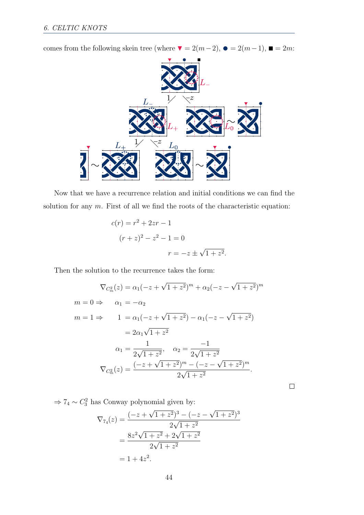comes from the following skein tree (where  $\blacktriangledown = 2(m-2)$ ,  $\blacktriangledown = 2(m-1)$ ,  $\blacksquare = 2m$ :



Now that we have a recurrence relation and initial conditions we can find the solution for any  $m$ . First of all we find the roots of the characteristic equation:

$$
c(r) = r2 + 2zr - 1
$$
  
(r + z)<sup>2</sup> - z<sup>2</sup> - 1 = 0  

$$
r = -z \pm \sqrt{1 + z2}.
$$

Then the solution to the recurrence takes the form:

$$
\nabla_{C_m^2}(z) = \alpha_1(-z + \sqrt{1 + z^2})^m + \alpha_2(-z - \sqrt{1 + z^2})^m
$$
  
\n
$$
m = 0 \Rightarrow \qquad \alpha_1 = -\alpha_2
$$
  
\n
$$
m = 1 \Rightarrow \qquad 1 = \alpha_1(-z + \sqrt{1 + z^2}) - \alpha_1(-z - \sqrt{1 + z^2})
$$
  
\n
$$
= 2\alpha_1\sqrt{1 + z^2}
$$
  
\n
$$
\alpha_1 = \frac{1}{2\sqrt{1 + z^2}}, \quad \alpha_2 = \frac{-1}{2\sqrt{1 + z^2}}
$$
  
\n
$$
\nabla_{C_m^2}(z) = \frac{(-z + \sqrt{1 + z^2})^m - (-z - \sqrt{1 + z^2})^m}{2\sqrt{1 + z^2}}.
$$

 $\Rightarrow$  7<sub>4</sub> ~  $C_3^2$  has Conway polynomial given by:

$$
\nabla_{74}(z) = \frac{(-z + \sqrt{1 + z^2})^3 - (-z - \sqrt{1 + z^2})^3}{2\sqrt{1 + z^2}}
$$

$$
= \frac{8z^2\sqrt{1 + z^2} + 2\sqrt{1 + z^2}}{2\sqrt{1 + z^2}}
$$

$$
= 1 + 4z^2.
$$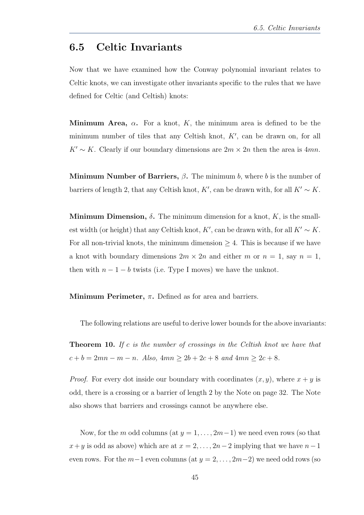### <span id="page-44-0"></span>6.5 Celtic Invariants

Now that we have examined how the Conway polynomial invariant relates to Celtic knots, we can investigate other [invariants](#page-51-1) specific to the rules that we have defined for Celtic (and Celtish) knots:

**Minimum Area,**  $\alpha$ . For a knot, K, the minimum area is defined to be the minimum number of tiles that any Celtish knot,  $K'$ , can be drawn on, for all  $K' \sim K$ . Clearly if our boundary dimensions are  $2m \times 2n$  then the area is 4mn.

Minimum Number of Barriers,  $\beta$ . The minimum b, where b is the number of barriers of length 2, that any Celtish knot, K', can be drawn with, for all  $K' \sim K$ .

Minimum Dimension,  $\delta$ . The minimum dimension for a knot, K, is the smallest width (or height) that any Celtish knot, K', can be drawn with, for all  $K' \sim K$ . For all non-trivial knots, the minimum dimension  $\geq 4$ . This is because if we have a knot with boundary dimensions  $2m \times 2n$  and either m or  $n = 1$ , say  $n = 1$ , then with  $n-1-b$  twists (i.e. Type I moves) we have the unknot.

Minimum Perimeter,  $\pi$ . Defined as for area and barriers.

The following relations are useful to derive lower bounds for the above invariants:

**Theorem 10.** If c is the number of crossings in the Celtish knot we have that  $c + b = 2mn - m - n$ . Also,  $4mn \ge 2b + 2c + 8$  and  $4mn \ge 2c + 8$ .

*Proof.* For every dot inside our boundary with coordinates  $(x, y)$ , where  $x + y$  is odd, there is a crossing or a barrier of length 2 by the Note on page [32.](#page-30-1) The Note also shows that barriers and crossings cannot be anywhere else.

Now, for the m odd columns (at  $y = 1, \ldots, 2m-1$ ) we need even rows (so that  $x+y$  is odd as above) which are at  $x = 2, \ldots, 2n-2$  implying that we have  $n-1$ even rows. For the  $m-1$  even columns (at  $y = 2, \ldots, 2m-2$ ) we need odd rows (so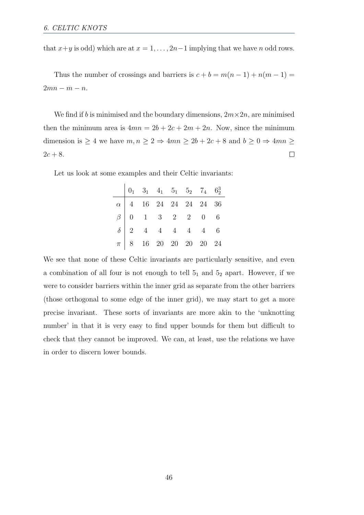that  $x+y$  is odd) which are at  $x = 1, \ldots, 2n-1$  implying that we have n odd rows.

Thus the number of crossings and barriers is  $c + b = m(n - 1) + n(m - 1) =$  $2mn - m - n$ .

We find if b is minimised and the boundary dimensions,  $2m \times 2n$ , are minimised then the minimum area is  $4mn = 2b + 2c + 2m + 2n$ . Now, since the minimum dimension is  $\geq 4$  we have  $m, n \geq 2 \Rightarrow 4mn \geq 2b + 2c + 8$  and  $b \geq 0 \Rightarrow 4mn \geq 0$  $2c + 8$ .  $\Box$ 

Let us look at some examples and their Celtic invariants:

|  | $\begin{vmatrix} 0_1 & 3_1 & 4_1 & 5_1 & 5_2 & 7_4 & 6_2^3 \end{vmatrix}$                                                                                                                                           |  |  |
|--|---------------------------------------------------------------------------------------------------------------------------------------------------------------------------------------------------------------------|--|--|
|  | $\begin{array}{c ccccccccc} \hline \alpha & 4 & 16 & 24 & 24 & 24 & 24 & 36 \\ \hline \beta & 0 & 1 & 3 & 2 & 2 & 0 & 6 \\ \delta & 2 & 4 & 4 & 4 & 4 & 4 & 6 \\ \pi & 8 & 16 & 20 & 20 & 20 & 20 & 24 \end{array}$ |  |  |
|  |                                                                                                                                                                                                                     |  |  |
|  |                                                                                                                                                                                                                     |  |  |
|  |                                                                                                                                                                                                                     |  |  |

We see that none of these Celtic invariants are particularly sensitive, and even a combination of all four is not enough to tell  $5<sub>1</sub>$  and  $5<sub>2</sub>$  apart. However, if we were to consider barriers within the inner grid as separate from the other barriers (those orthogonal to some edge of the inner grid), we may start to get a more precise invariant. These sorts of invariants are more akin to the 'unknotting number' in that it is very easy to find upper bounds for them but difficult to check that they cannot be improved. We can, at least, use the relations we have in order to discern lower bounds.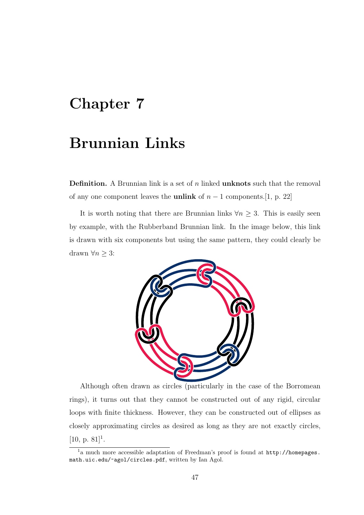# <span id="page-46-0"></span>Chapter 7

# Brunnian Links

**Definition.** A Brunnian link is a set of  $n$  linked **[unknots](#page-53-0)** such that the removal of any one component leaves the **[unlink](#page-53-1)** of  $n-1$  components.[\[1,](#page-54-4) p. 22]

It is worth noting that there are Brunnian links  $\forall n \geq 3$ . This is easily seen by example, with the Rubberband Brunnian link. In the image below, this link is drawn with six components but using the same pattern, they could clearly be drawn  $\forall n \geq 3$ :



Although often drawn as circles (particularly in the case of the Borromean rings), it turns out that they cannot be constructed out of any rigid, circular loops with finite thickness. However, they can be constructed out of ellipses as closely approximating circles as desired as long as they are not exactly circles, [\[10,](#page-54-8) p. 8[1](#page-46-1)]<sup>1</sup>.

<span id="page-46-1"></span><sup>1</sup>a much more accessible adaptation of Freedman's proof is found at [http://homepages.](http://homepages.math.uic.edu/~agol/circles.pdf) [math.uic.edu/~agol/circles.pdf](http://homepages.math.uic.edu/~agol/circles.pdf), written by Ian Agol.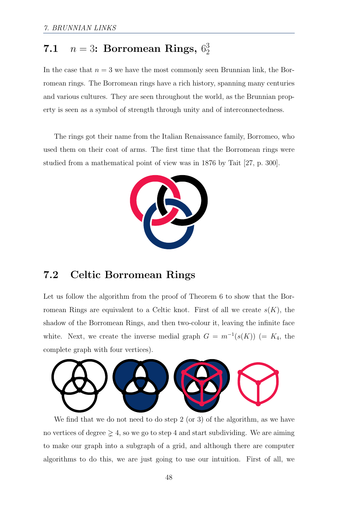#### <span id="page-47-0"></span>7.1  $n = 3$ : Borromean Rings,  $6_2^3$ 2

In the case that  $n = 3$  we have the most commonly seen Brunnian link, the Borromean rings. The Borromean rings have a rich history, spanning many centuries and various cultures. They are seen throughout the world, as the Brunnian property is seen as a symbol of strength through unity and of interconnectedness.

The rings got their name from the Italian Renaissance family, Borromeo, who used them on their coat of arms. The first time that the Borromean rings were studied from a mathematical point of view was in 1876 by Tait [\[27,](#page-56-5) p. 300].



### <span id="page-47-1"></span>7.2 Celtic Borromean Rings

Let us follow the algorithm from the proof of Theorem [6](#page-40-2) to show that the Borromean Rings are equivalent to a Celtic knot. First of all we create  $s(K)$ , the shadow of the Borromean Rings, and then two-colour it, leaving the infinite face white. Next, we create the inverse medial graph  $G = m^{-1}(s(K))$  (=  $K_4$ , the complete graph with four vertices).



We find that we do not need to do step 2 (or 3) of the algorithm, as we have no vertices of degree  $\geq 4$ , so we go to step 4 and start subdividing. We are aiming to make our graph into a subgraph of a grid, and although there are computer algorithms to do this, we are just going to use our intuition. First of all, we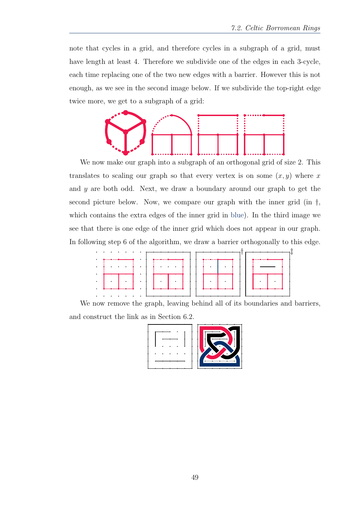note that cycles in a grid, and therefore cycles in a subgraph of a grid, must have length at least 4. Therefore we subdivide one of the edges in each 3-cycle, each time replacing one of the two new edges with a barrier. However this is not enough, as we see in the second image below. If we subdivide the top-right edge twice more, we get to a subgraph of a grid:



We now make our graph into a subgraph of an orthogonal grid of size 2. This translates to scaling our graph so that every vertex is on some  $(x, y)$  where x and y are both odd. Next, we draw a boundary around our graph to get the second picture below. Now, we compare our graph with the inner grid (in †, which contains the extra edges of the inner grid in blue). In the third image we see that there is one edge of the inner grid which does not appear in our graph. In following step 6 of the algorithm, we draw a barrier orthogonally to this edge.



We now remove the graph, leaving behind all of its boundaries and barriers, and construct the link as in Section [6.2.](#page-32-0)

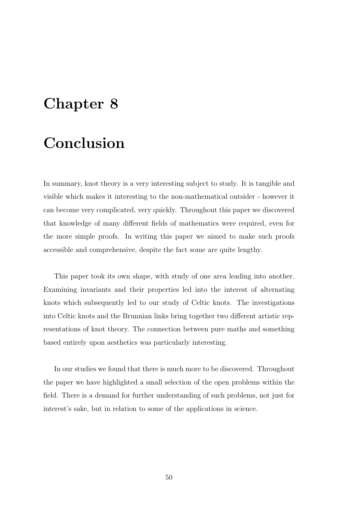# <span id="page-49-0"></span>Chapter 8

# Conclusion

In summary, knot theory is a very interesting subject to study. It is tangible and visible which makes it interesting to the non-mathematical outsider - however it can become very complicated, very quickly. Throughout this paper we discovered that knowledge of many different fields of mathematics were required, even for the more simple proofs. In writing this paper we aimed to make such proofs accessible and comprehensive, despite the fact some are quite lengthy.

This paper took its own shape, with study of one area leading into another. Examining invariants and their properties led into the interest of alternating knots which subsequently led to our study of Celtic knots. The investigations into Celtic knots and the Brunnian links bring together two different artistic representations of knot theory. The connection between pure maths and something based entirely upon aesthetics was particularly interesting.

In our studies we found that there is much more to be discovered. Throughout the paper we have highlighted a small selection of the open problems within the field. There is a demand for further understanding of such problems, not just for interest's sake, but in relation to some of the applications in science.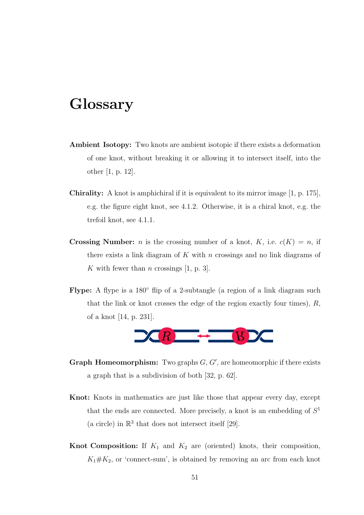## <span id="page-50-0"></span>Glossary

- Ambient Isotopy: Two knots are ambient isotopic if there exists a deformation of one knot, without breaking it or allowing it to intersect itself, into the other [\[1,](#page-54-4) p. 12].
- <span id="page-50-2"></span>Chirality: A knot is amphichiral if it is equivalent to its mirror image [\[1,](#page-54-4) p. 175], e.g. the figure eight knot, see [4.1.2.](#page-25-0) Otherwise, it is a chiral knot, e.g. the trefoil knot, see [4.1.1.](#page-24-2)
- <span id="page-50-3"></span>**Crossing Number:** *n* is the crossing number of a knot, K, i.e.  $c(K) = n$ , if there exists a link diagram of K with n crossings and no link diagrams of K with fewer than n crossings [\[1,](#page-54-4) p. 3].
- <span id="page-50-4"></span>Flype: A flype is a 180 $\degree$  flip of a 2-subtangle (a region of a link diagram such that the link or knot crosses the edge of the region exactly four times),  $R$ , of a knot [\[14,](#page-55-12) p. 231].



- <span id="page-50-6"></span>Graph Homeomorphism: Two graphs  $G, G'$ , are homeomorphic if there exists a graph that is a subdivision of both [\[32,](#page-56-6) p. 62].
- <span id="page-50-1"></span>Knot: Knots in mathematics are just like those that appear every day, except that the ends are connected. More precisely, a knot is an embedding of  $S<sup>1</sup>$ (a circle) in  $\mathbb{R}^3$  that does not intersect itself [\[29\]](#page-56-7).
- <span id="page-50-5"></span>**Knot Composition:** If  $K_1$  and  $K_2$  are (oriented) knots, their composition,  $K_1 \# K_2$ , or 'connect-sum', is obtained by removing an arc from each knot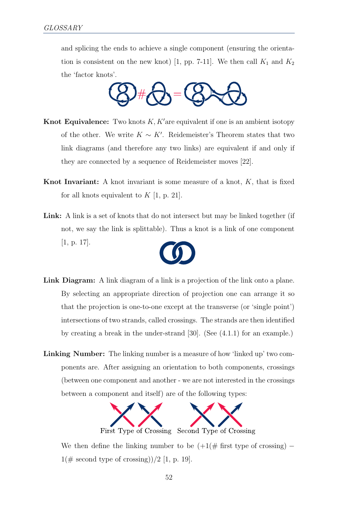and splicing the ends to achieve a single component (ensuring the orienta-tion is consistent on the new knot) [\[1,](#page-54-4) pp. 7-11]. We then call  $K_1$  and  $K_2$ the 'factor knots'.



- <span id="page-51-0"></span>**Knot Equivalence:** Two knots  $K$ ,  $K'$  are equivalent if one is an ambient isotopy of the other. We write  $K \sim K'$ . Reidemeister's Theorem states that two link diagrams (and therefore any two links) are equivalent if and only if they are connected by a sequence of Reidemeister moves [\[22\]](#page-55-2).
- <span id="page-51-1"></span>**Knot Invariant:** A knot invariant is some measure of a knot,  $K$ , that is fixed for all knots equivalent to  $K$  [\[1,](#page-54-4) p. 21].
- Link: A link is a set of knots that do not intersect but may be linked together (if not, we say the link is splittable). Thus a knot is a link of one component [\[1,](#page-54-4) p. 17].



- <span id="page-51-3"></span>Link Diagram: A link diagram of a link is a projection of the link onto a plane. By selecting an appropriate direction of projection one can arrange it so that the projection is one-to-one except at the transverse (or 'single point') intersections of two strands, called crossings. The strands are then identified by creating a break in the under-strand [\[30\]](#page-56-8). (See [\(4.1.1\)](#page-24-2) for an example.)
- <span id="page-51-2"></span>Linking Number: The linking number is a measure of how 'linked up' two components are. After assigning an orientation to both components, crossings (between one component and another - we are not interested in the crossings between a component and itself) are of the following types:



We then define the linking number to be  $(+1)(\#$  first type of crossing) –  $1(\text{\# second type of crossing})/2$  [\[1,](#page-54-4) p. 19].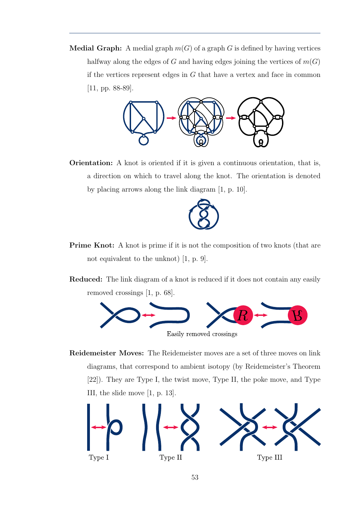<span id="page-52-3"></span>**Medial Graph:** A medial graph  $m(G)$  of a graph G is defined by having vertices halfway along the edges of G and having edges joining the vertices of  $m(G)$ if the vertices represent edges in  $G$  that have a vertex and face in common [\[11,](#page-55-10) pp. 88-89].



Orientation: A knot is oriented if it is given a continuous orientation, that is, a direction on which to travel along the knot. The orientation is denoted by placing arrows along the link diagram [\[1,](#page-54-4) p. 10].



- <span id="page-52-1"></span>Prime Knot: A knot is prime if it is not the composition of two knots (that are not equivalent to the unknot) [\[1,](#page-54-4) p. 9].
- <span id="page-52-2"></span>Reduced: The link diagram of a knot is reduced if it does not contain any easily removed crossings [\[1,](#page-54-4) p. 68].



<span id="page-52-0"></span>Reidemeister Moves: The Reidemeister moves are a set of three moves on link diagrams, that correspond to ambient isotopy (by Reidemeister's Theorem [\[22\]](#page-55-2)). They are Type I, the twist move, Type II, the poke move, and Type III, the slide move [\[1,](#page-54-4) p. 13].

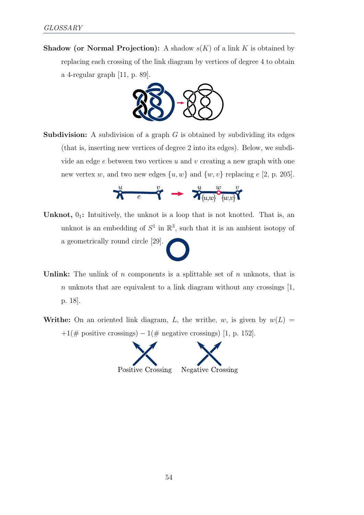<span id="page-53-3"></span>**Shadow (or Normal Projection):** A shadow  $s(K)$  of a link K is obtained by replacing each crossing of the link diagram by vertices of degree 4 to obtain a 4-regular graph [\[11,](#page-55-10) p. 89].



<span id="page-53-4"></span>**Subdivision:** A subdivision of a graph  $G$  is obtained by subdividing its edges (that is, inserting new vertices of degree 2 into its edges). Below, we subdivide an edge  $e$  between two vertices u and v creating a new graph with one new vertex w, and two new edges  $\{u, w\}$  and  $\{w, v\}$  replacing e [\[2,](#page-54-9) p. 205].

$$
\overset{u}{\mathcal{R}} \overset{v}{\longrightarrow} \overset{v}{\rightarrow} \overset{u}{\mathcal{R}} \underset{\{u,v\}}{w} \overset{v}{\circ}_{\{w,v\}} \overset{v}{\mathcal{R}}
$$

- <span id="page-53-0"></span>Unknot,  $0_1$ : Intuitively, the unknot is a loop that is not knotted. That is, an unknot is an embedding of  $S^1$  in  $\mathbb{R}^3$ , such that it is an ambient isotopy of a geometrically round circle [\[29\]](#page-56-7).
- <span id="page-53-1"></span>Unlink: The unlink of  $n$  components is a splittable set of  $n$  unknots, that is  $n$  unknots that are equivalent to a link diagram without any crossings  $[1,$ p. 18].
- <span id="page-53-2"></span>Writhe: On an oriented link diagram, L, the writhe, w, is given by  $w(L)$  $+1(\text{# positive crossings}) - 1(\text{# negative crossings})$  [\[1,](#page-54-4) p. 152].

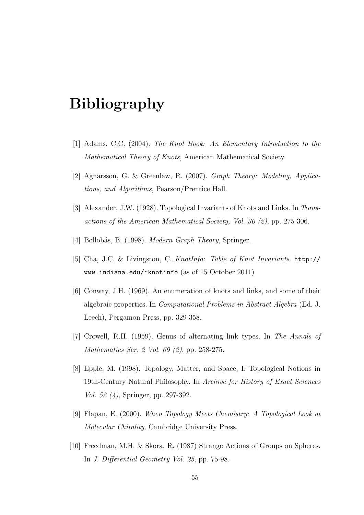# Bibliography

- <span id="page-54-4"></span>[1] Adams, C.C. (2004). The Knot Book: An Elementary Introduction to the Mathematical Theory of Knots, American Mathematical Society.
- <span id="page-54-9"></span>[2] Agnarsson, G. & Greenlaw, R. (2007). Graph Theory: Modeling, Applications, and Algorithms, Pearson/Prentice Hall.
- <span id="page-54-3"></span>[3] Alexander, J.W. (1928). Topological Invariants of Knots and Links. In Transactions of the American Mathematical Society, Vol. 30 (2), pp. 275-306.
- <span id="page-54-5"></span>[4] Bollobás, B. (1998). *Modern Graph Theory*, Springer.
- <span id="page-54-6"></span>[5] Cha, J.C. & Livingston, C. KnotInfo: Table of Knot Invariants. [http://](http://www.indiana.edu/~knotinfo) [www.indiana.edu/~knotinfo](http://www.indiana.edu/~knotinfo) (as of 15 October 2011)
- <span id="page-54-1"></span>[6] Conway, J.H. (1969). An enumeration of knots and links, and some of their algebraic properties. In Computational Problems in Abstract Algebra (Ed. J. Leech), Pergamon Press, pp. 329-358.
- <span id="page-54-7"></span>[7] Crowell, R.H. (1959). Genus of alternating link types. In The Annals of Mathematics Ser. 2 Vol. 69 (2), pp. 258-275.
- <span id="page-54-0"></span>[8] Epple, M. (1998). Topology, Matter, and Space, I: Topological Notions in 19th-Century Natural Philosophy. In Archive for History of Exact Sciences Vol. 52 (4), Springer, pp. 297-392.
- <span id="page-54-2"></span>[9] Flapan, E. (2000). When Topology Meets Chemistry: A Topological Look at Molecular Chirality, Cambridge University Press.
- <span id="page-54-8"></span>[10] Freedman, M.H. & Skora, R. (1987) Strange Actions of Groups on Spheres. In J. Differential Geometry Vol. 25, pp. 75-98.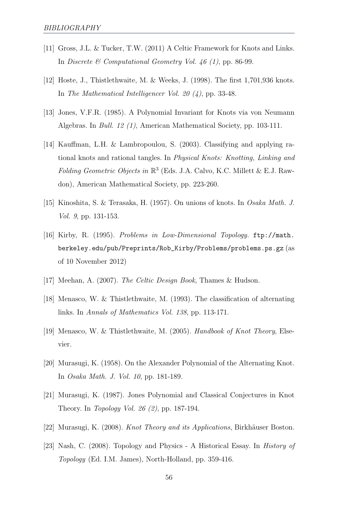- <span id="page-55-10"></span>[11] Gross, J.L. & Tucker, T.W. (2011) A Celtic Framework for Knots and Links. In Discrete & Computational Geometry Vol. 46 (1), pp. 86-99.
- <span id="page-55-5"></span>[12] Hoste, J., Thistlethwaite, M. & Weeks, J. (1998). The first 1,701,936 knots. In The Mathematical Intelligencer Vol. 20 (4), pp. 33-48.
- <span id="page-55-3"></span>[13] Jones, V.F.R. (1985). A Polynomial Invariant for Knots via von Neumann Algebras. In Bull. 12 (1), American Mathematical Society, pp. 103-111.
- <span id="page-55-12"></span>[14] Kauffman, L.H. & Lambropoulou, S. (2003). Classifying and applying rational knots and rational tangles. In Physical Knots: Knotting, Linking and Folding Geometric Objects in  $\mathbb{R}^3$  (Eds. J.A. Calvo, K.C. Millett & E.J. Rawdon), American Mathematical Society, pp. 223-260.
- <span id="page-55-4"></span>[15] Kinoshita, S. & Terasaka, H. (1957). On unions of knots. In Osaka Math. J. Vol. 9, pp. 131-153.
- <span id="page-55-9"></span>[16] Kirby, R. (1995). Problems in Low-Dimensional Topology. [ftp://math.](ftp://math.berkeley.edu/pub/Preprints/Rob_Kirby/Problems/problems.ps.gz) [berkeley.edu/pub/Preprints/Rob\\_Kirby/Problems/problems.ps.gz](ftp://math.berkeley.edu/pub/Preprints/Rob_Kirby/Problems/problems.ps.gz) (as of 10 November 2012)
- <span id="page-55-11"></span>[17] Meehan, A. (2007). The Celtic Design Book, Thames & Hudson.
- <span id="page-55-7"></span>[18] Menasco, W. & Thistlethwaite, M. (1993). The classification of alternating links. In Annals of Mathematics Vol. 138, pp. 113-171.
- <span id="page-55-1"></span>[19] Menasco, W. & Thistlethwaite, M. (2005). Handbook of Knot Theory, Elsevier.
- <span id="page-55-8"></span>[20] Murasugi, K. (1958). On the Alexander Polynomial of the Alternating Knot. In Osaka Math. J. Vol. 10, pp. 181-189.
- <span id="page-55-6"></span>[21] Murasugi, K. (1987). Jones Polynomial and Classical Conjectures in Knot Theory. In Topology Vol. 26 (2), pp. 187-194.
- <span id="page-55-2"></span>[22] Murasugi, K. (2008). *Knot Theory and its Applications*, Birkhäuser Boston.
- <span id="page-55-0"></span>[23] Nash, C. (2008). Topology and Physics - A Historical Essay. In History of Topology (Ed. I.M. James), North-Holland, pp. 359-416.